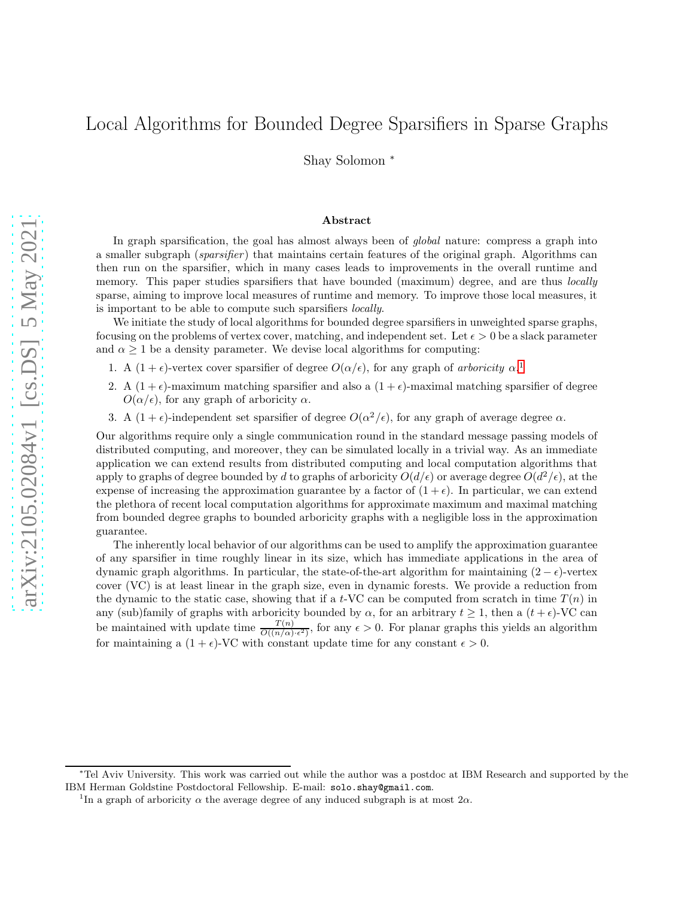# Local Algorithms for Bounded Degree Sparsifiers in Sparse Graphs

Shay Solomon <sup>∗</sup>

#### Abstract

In graph sparsification, the goal has almost always been of *global* nature: compress a graph into a smaller subgraph (*sparsifier* ) that maintains certain features of the original graph. Algorithms can then run on the sparsifier, which in many cases leads to improvements in the overall runtime and memory. This paper studies sparsifiers that have bounded (maximum) degree, and are thus *locally* sparse, aiming to improve local measures of runtime and memory. To improve those local measures, it is important to be able to compute such sparsifiers *locally*.

We initiate the study of local algorithms for bounded degree sparsifiers in unweighted sparse graphs, focusing on the problems of vertex cover, matching, and independent set. Let  $\epsilon > 0$  be a slack parameter and  $\alpha \geq 1$  be a density parameter. We devise local algorithms for computing:

- [1](#page-0-0). A  $(1 + \epsilon)$ -vertex cover sparsifier of degree  $O(\alpha/\epsilon)$ , for any graph of *arboricity*  $\alpha$ <sup>1</sup>
- 2. A  $(1 + \epsilon)$ -maximum matching sparsifier and also a  $(1 + \epsilon)$ -maximal matching sparsifier of degree  $O(\alpha/\epsilon)$ , for any graph of arboricity  $\alpha$ .
- 3. A  $(1+\epsilon)$ -independent set sparsifier of degree  $O(\alpha^2/\epsilon)$ , for any graph of average degree  $\alpha$ .

Our algorithms require only a single communication round in the standard message passing models of distributed computing, and moreover, they can be simulated locally in a trivial way. As an immediate application we can extend results from distributed computing and local computation algorithms that apply to graphs of degree bounded by d to graphs of arboricity  $O(d/\epsilon)$  or average degree  $O(d^2/\epsilon)$ , at the expense of increasing the approximation guarantee by a factor of  $(1 + \epsilon)$ . In particular, we can extend the plethora of recent local computation algorithms for approximate maximum and maximal matching from bounded degree graphs to bounded arboricity graphs with a negligible loss in the approximation guarantee.

The inherently local behavior of our algorithms can be used to amplify the approximation guarantee of any sparsifier in time roughly linear in its size, which has immediate applications in the area of dynamic graph algorithms. In particular, the state-of-the-art algorithm for maintaining  $(2 - \epsilon)$ -vertex cover (VC) is at least linear in the graph size, even in dynamic forests. We provide a reduction from the dynamic to the static case, showing that if a t-VC can be computed from scratch in time  $T(n)$  in any (sub)family of graphs with arboricity bounded by  $\alpha$ , for an arbitrary  $t \ge 1$ , then a  $(t + \epsilon)$ -VC can be maintained with update time  $\frac{T(n)}{O((n/\alpha)\cdot\epsilon^2)}$ , for any  $\epsilon > 0$ . For planar graphs this yields an algorithm for maintaining a  $(1 + \epsilon)$ -VC with constant update time for any constant  $\epsilon > 0$ .

<sup>∗</sup>Tel Aviv University. This work was carried out while the author was a postdoc at IBM Research and supported by the IBM Herman Goldstine Postdoctoral Fellowship. E-mail: solo.shay@gmail.com.

<span id="page-0-0"></span><sup>&</sup>lt;sup>1</sup>In a graph of arboricity  $\alpha$  the average degree of any induced subgraph is at most  $2\alpha$ .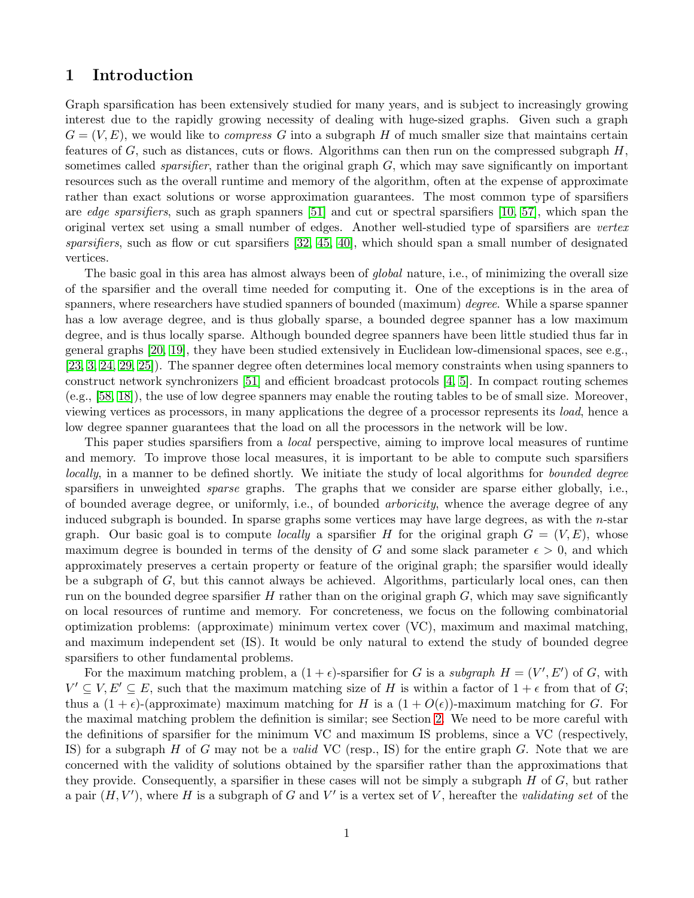## 1 Introduction

Graph sparsification has been extensively studied for many years, and is subject to increasingly growing interest due to the rapidly growing necessity of dealing with huge-sized graphs. Given such a graph  $G = (V, E)$ , we would like to *compress* G into a subgraph H of much smaller size that maintains certain features of G, such as distances, cuts or flows. Algorithms can then run on the compressed subgraph  $H$ , sometimes called *sparsifier*, rather than the original graph G, which may save significantly on important resources such as the overall runtime and memory of the algorithm, often at the expense of approximate rather than exact solutions or worse approximation guarantees. The most common type of sparsifiers are *edge sparsifiers*, such as graph spanners [\[51\]](#page-18-0) and cut or spectral sparsifiers [\[10,](#page-16-0) [57\]](#page-18-1), which span the original vertex set using a small number of edges. Another well-studied type of sparsifiers are *vertex sparsifiers*, such as flow or cut sparsifiers [\[32,](#page-17-0) [45,](#page-18-2) [40\]](#page-18-3), which should span a small number of designated vertices.

The basic goal in this area has almost always been of *global* nature, i.e., of minimizing the overall size of the sparsifier and the overall time needed for computing it. One of the exceptions is in the area of spanners, where researchers have studied spanners of bounded (maximum) *degree*. While a sparse spanner has a low average degree, and is thus globally sparse, a bounded degree spanner has a low maximum degree, and is thus locally sparse. Although bounded degree spanners have been little studied thus far in general graphs [\[20,](#page-17-1) [19\]](#page-17-2), they have been studied extensively in Euclidean low-dimensional spaces, see e.g., [\[23,](#page-17-3) [3,](#page-16-1) [24,](#page-17-4) [29,](#page-17-5) [25\]](#page-17-6)). The spanner degree often determines local memory constraints when using spanners to construct network synchronizers [\[51\]](#page-18-0) and efficient broadcast protocols [\[4,](#page-16-2) [5\]](#page-16-3). In compact routing schemes (e.g., [\[58,](#page-18-4) [18\]](#page-16-4)), the use of low degree spanners may enable the routing tables to be of small size. Moreover, viewing vertices as processors, in many applications the degree of a processor represents its *load*, hence a low degree spanner guarantees that the load on all the processors in the network will be low.

This paper studies sparsifiers from a *local* perspective, aiming to improve local measures of runtime and memory. To improve those local measures, it is important to be able to compute such sparsifiers *locally*, in a manner to be defined shortly. We initiate the study of local algorithms for *bounded degree* sparsifiers in unweighted *sparse* graphs. The graphs that we consider are sparse either globally, i.e., of bounded average degree, or uniformly, i.e., of bounded *arboricity*, whence the average degree of any induced subgraph is bounded. In sparse graphs some vertices may have large degrees, as with the  $n$ -star graph. Our basic goal is to compute *locally* a sparsifier H for the original graph  $G = (V, E)$ , whose maximum degree is bounded in terms of the density of G and some slack parameter  $\epsilon > 0$ , and which approximately preserves a certain property or feature of the original graph; the sparsifier would ideally be a subgraph of G, but this cannot always be achieved. Algorithms, particularly local ones, can then run on the bounded degree sparsifier H rather than on the original graph  $G$ , which may save significantly on local resources of runtime and memory. For concreteness, we focus on the following combinatorial optimization problems: (approximate) minimum vertex cover (VC), maximum and maximal matching, and maximum independent set (IS). It would be only natural to extend the study of bounded degree sparsifiers to other fundamental problems.

For the maximum matching problem, a  $(1 + \epsilon)$ -sparsifier for G is a *subgraph*  $H = (V', E')$  of G, with  $V' \subseteq V, E' \subseteq E$ , such that the maximum matching size of H is within a factor of  $1 + \epsilon$  from that of G; thus a  $(1 + \epsilon)$ -(approximate) maximum matching for H is a  $(1 + O(\epsilon))$ -maximum matching for G. For the maximal matching problem the definition is similar; see Section [2.](#page-7-0) We need to be more careful with the definitions of sparsifier for the minimum VC and maximum IS problems, since a VC (respectively, IS) for a subgraph H of G may not be a *valid* VC (resp., IS) for the entire graph G. Note that we are concerned with the validity of solutions obtained by the sparsifier rather than the approximations that they provide. Consequently, a sparsifier in these cases will not be simply a subgraph  $H$  of  $G$ , but rather a pair  $(H, V')$ , where H is a subgraph of G and V' is a vertex set of V, hereafter the *validating set* of the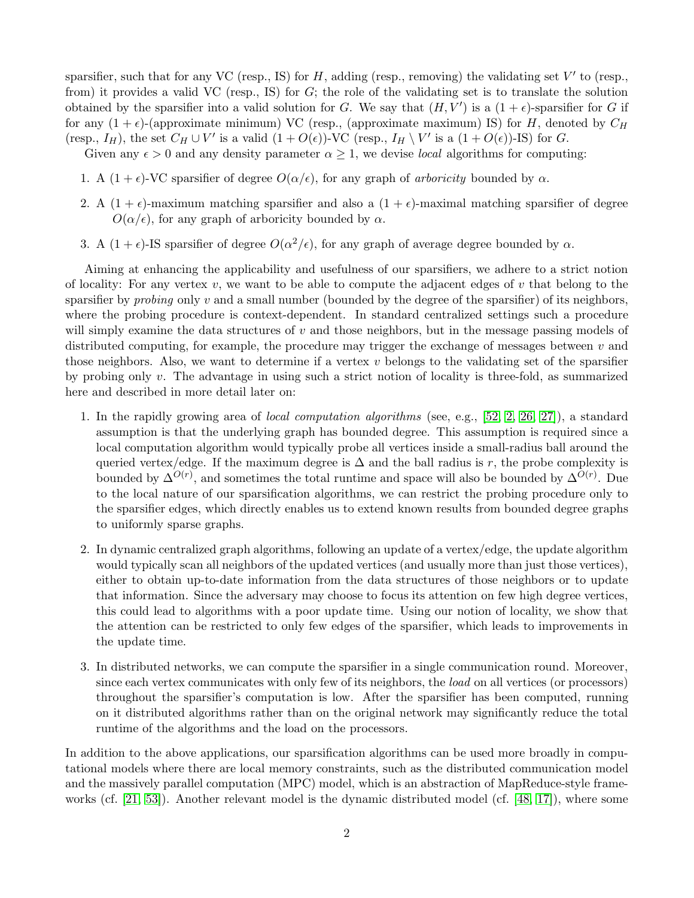sparsifier, such that for any VC (resp., IS) for  $H$ , adding (resp., removing) the validating set  $V'$  to (resp., from) it provides a valid VC (resp., IS) for  $G$ ; the role of the validating set is to translate the solution obtained by the sparsifier into a valid solution for G. We say that  $(H, V')$  is a  $(1 + \epsilon)$ -sparsifier for G if for any  $(1 + \epsilon)$ -(approximate minimum) VC (resp., (approximate maximum) IS) for H, denoted by  $C_H$ (resp.,  $I_H$ ), the set  $C_H \cup V'$  is a valid  $(1 + O(\epsilon))$ -VC (resp.,  $I_H \setminus V'$  is a  $(1 + O(\epsilon))$ -IS) for G.

Given any  $\epsilon > 0$  and any density parameter  $\alpha \geq 1$ , we devise *local* algorithms for computing:

- 1. A  $(1 + \epsilon)$ -VC sparsifier of degree  $O(\alpha/\epsilon)$ , for any graph of *arboricity* bounded by  $\alpha$ .
- 2. A  $(1 + \epsilon)$ -maximum matching sparsifier and also a  $(1 + \epsilon)$ -maximal matching sparsifier of degree  $O(\alpha/\epsilon)$ , for any graph of arboricity bounded by  $\alpha$ .
- 3. A  $(1+\epsilon)$ -IS sparsifier of degree  $O(\alpha^2/\epsilon)$ , for any graph of average degree bounded by  $\alpha$ .

Aiming at enhancing the applicability and usefulness of our sparsifiers, we adhere to a strict notion of locality: For any vertex  $v$ , we want to be able to compute the adjacent edges of  $v$  that belong to the sparsifier by *probing* only v and a small number (bounded by the degree of the sparsifier) of its neighbors, where the probing procedure is context-dependent. In standard centralized settings such a procedure will simply examine the data structures of  $v$  and those neighbors, but in the message passing models of distributed computing, for example, the procedure may trigger the exchange of messages between  $v$  and those neighbors. Also, we want to determine if a vertex  $v$  belongs to the validating set of the sparsifier by probing only v. The advantage in using such a strict notion of locality is three-fold, as summarized here and described in more detail later on:

- 1. In the rapidly growing area of *local computation algorithms* (see, e.g., [\[52,](#page-18-5) [2,](#page-16-5) [26,](#page-17-7) [27\]](#page-17-8)), a standard assumption is that the underlying graph has bounded degree. This assumption is required since a local computation algorithm would typically probe all vertices inside a small-radius ball around the queried vertex/edge. If the maximum degree is  $\Delta$  and the ball radius is r, the probe complexity is bounded by  $\Delta^{O(r)}$ , and sometimes the total runtime and space will also be bounded by  $\Delta^{O(r)}$ . Due to the local nature of our sparsification algorithms, we can restrict the probing procedure only to the sparsifier edges, which directly enables us to extend known results from bounded degree graphs to uniformly sparse graphs.
- 2. In dynamic centralized graph algorithms, following an update of a vertex/edge, the update algorithm would typically scan all neighbors of the updated vertices (and usually more than just those vertices), either to obtain up-to-date information from the data structures of those neighbors or to update that information. Since the adversary may choose to focus its attention on few high degree vertices, this could lead to algorithms with a poor update time. Using our notion of locality, we show that the attention can be restricted to only few edges of the sparsifier, which leads to improvements in the update time.
- 3. In distributed networks, we can compute the sparsifier in a single communication round. Moreover, since each vertex communicates with only few of its neighbors, the *load* on all vertices (or processors) throughout the sparsifier's computation is low. After the sparsifier has been computed, running on it distributed algorithms rather than on the original network may significantly reduce the total runtime of the algorithms and the load on the processors.

In addition to the above applications, our sparsification algorithms can be used more broadly in computational models where there are local memory constraints, such as the distributed communication model and the massively parallel computation (MPC) model, which is an abstraction of MapReduce-style frameworks (cf. [\[21,](#page-17-9) [53\]](#page-18-6)). Another relevant model is the dynamic distributed model (cf. [\[48,](#page-18-7) [17\]](#page-16-6)), where some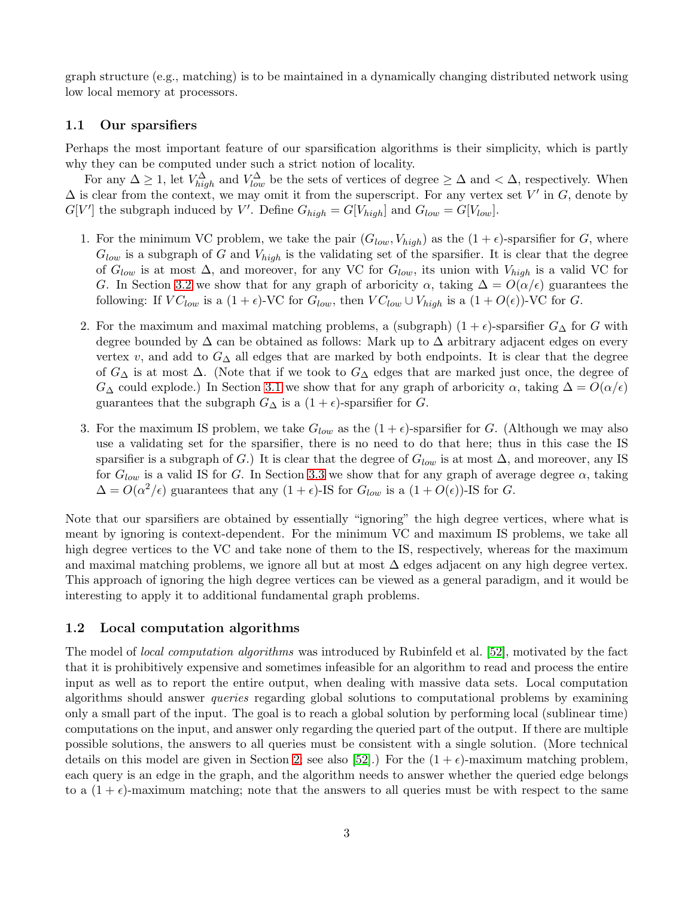graph structure (e.g., matching) is to be maintained in a dynamically changing distributed network using low local memory at processors.

## <span id="page-3-0"></span>1.1 Our sparsifiers

Perhaps the most important feature of our sparsification algorithms is their simplicity, which is partly why they can be computed under such a strict notion of locality.

For any  $\Delta \geq 1$ , let  $V_{high}^{\Delta}$  and  $V_{low}^{\Delta}$  be the sets of vertices of degree  $\geq \Delta$  and  $\lt \Delta$ , respectively. When  $\Delta$  is clear from the context, we may omit it from the superscript. For any vertex set V' in G, denote by  $G[V']$  the subgraph induced by V'. Define  $G_{high} = G[V_{high}]$  and  $G_{low} = G[V_{low}]$ .

- 1. For the minimum VC problem, we take the pair  $(G_{low}, V_{high})$  as the  $(1 + \epsilon)$ -sparsifier for G, where  $G_{low}$  is a subgraph of G and  $V_{high}$  is the validating set of the sparsifier. It is clear that the degree of  $G_{low}$  is at most  $\Delta$ , and moreover, for any VC for  $G_{low}$ , its union with  $V_{high}$  is a valid VC for G. In Section [3.2](#page-10-0) we show that for any graph of arboricity  $\alpha$ , taking  $\Delta = O(\alpha/\epsilon)$  guarantees the following: If  $VC_{low}$  is a  $(1+\epsilon)$ -VC for  $G_{low}$ , then  $VC_{low} \cup V_{high}$  is a  $(1+O(\epsilon))$ -VC for G.
- 2. For the maximum and maximal matching problems, a (subgraph)  $(1 + \epsilon)$ -sparsifier  $G_{\Delta}$  for G with degree bounded by ∆ can be obtained as follows: Mark up to ∆ arbitrary adjacent edges on every vertex v, and add to  $G_{\Delta}$  all edges that are marked by both endpoints. It is clear that the degree of  $G_{\Delta}$  is at most  $\Delta$ . (Note that if we took to  $G_{\Delta}$  edges that are marked just once, the degree of  $G_{\Delta}$  could explode.) In Section [3.1](#page-8-0) we show that for any graph of arboricity  $\alpha$ , taking  $\Delta = O(\alpha/\epsilon)$ guarantees that the subgraph  $G_{\Delta}$  is a  $(1 + \epsilon)$ -sparsifier for G.
- 3. For the maximum IS problem, we take  $G_{low}$  as the  $(1 + \epsilon)$ -sparsifier for G. (Although we may also use a validating set for the sparsifier, there is no need to do that here; thus in this case the IS sparsifier is a subgraph of G.) It is clear that the degree of  $G_{low}$  is at most  $\Delta$ , and moreover, any IS for  $G_{low}$  is a valid IS for G. In Section [3.3](#page-11-0) we show that for any graph of average degree  $\alpha$ , taking  $\Delta = O(\alpha^2/\epsilon)$  guarantees that any  $(1+\epsilon)$ -IS for  $G_{low}$  is a  $(1+O(\epsilon))$ -IS for G.

Note that our sparsifiers are obtained by essentially "ignoring" the high degree vertices, where what is meant by ignoring is context-dependent. For the minimum VC and maximum IS problems, we take all high degree vertices to the VC and take none of them to the IS, respectively, whereas for the maximum and maximal matching problems, we ignore all but at most  $\Delta$  edges adjacent on any high degree vertex. This approach of ignoring the high degree vertices can be viewed as a general paradigm, and it would be interesting to apply it to additional fundamental graph problems.

## 1.2 Local computation algorithms

The model of *local computation algorithms* was introduced by Rubinfeld et al. [\[52\]](#page-18-5), motivated by the fact that it is prohibitively expensive and sometimes infeasible for an algorithm to read and process the entire input as well as to report the entire output, when dealing with massive data sets. Local computation algorithms should answer *queries* regarding global solutions to computational problems by examining only a small part of the input. The goal is to reach a global solution by performing local (sublinear time) computations on the input, and answer only regarding the queried part of the output. If there are multiple possible solutions, the answers to all queries must be consistent with a single solution. (More technical details on this model are given in Section [2;](#page-7-0) see also [\[52\]](#page-18-5).) For the  $(1 + \epsilon)$ -maximum matching problem, each query is an edge in the graph, and the algorithm needs to answer whether the queried edge belongs to a  $(1 + \epsilon)$ -maximum matching; note that the answers to all queries must be with respect to the same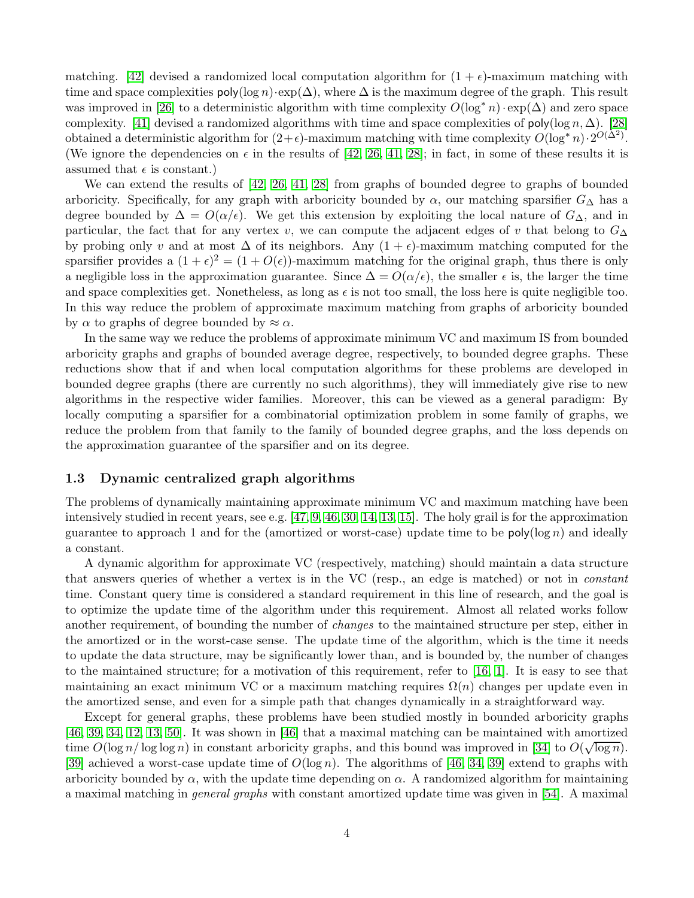matching. [\[42\]](#page-18-8) devised a randomized local computation algorithm for  $(1 + \epsilon)$ -maximum matching with time and space complexities  $\text{poly}(\log n) \cdot \exp(\Delta)$ , where  $\Delta$  is the maximum degree of the graph. This result was improved in [\[26\]](#page-17-7) to a deterministic algorithm with time complexity  $O(\log^* n) \cdot \exp(\Delta)$  and zero space complexity. [\[41\]](#page-18-9) devised a randomized algorithms with time and space complexities of poly(log n,  $\Delta$ ). [\[28\]](#page-17-10) obtained a deterministic algorithm for  $(2+\epsilon)$ -maximum matching with time complexity  $O(\log^* n) \cdot 2^{O(\Delta^2)}$ . (We ignore the dependencies on  $\epsilon$  in the results of [\[42,](#page-18-8) [26,](#page-17-7) [41,](#page-18-9) [28\]](#page-17-10); in fact, in some of these results it is assumed that  $\epsilon$  is constant.)

We can extend the results of [\[42,](#page-18-8) [26,](#page-17-7) [41,](#page-18-9) [28\]](#page-17-10) from graphs of bounded degree to graphs of bounded arboricity. Specifically, for any graph with arboricity bounded by  $\alpha$ , our matching sparsifier  $G_{\Delta}$  has a degree bounded by  $\Delta = O(\alpha/\epsilon)$ . We get this extension by exploiting the local nature of  $G_{\Delta}$ , and in particular, the fact that for any vertex v, we can compute the adjacent edges of v that belong to  $G_{\Delta}$ by probing only v and at most  $\Delta$  of its neighbors. Any  $(1 + \epsilon)$ -maximum matching computed for the sparsifier provides a  $(1+\epsilon)^2 = (1+O(\epsilon))$ -maximum matching for the original graph, thus there is only a negligible loss in the approximation guarantee. Since  $\Delta = O(\alpha/\epsilon)$ , the smaller  $\epsilon$  is, the larger the time and space complexities get. Nonetheless, as long as  $\epsilon$  is not too small, the loss here is quite negligible too. In this way reduce the problem of approximate maximum matching from graphs of arboricity bounded by  $\alpha$  to graphs of degree bounded by  $\approx \alpha$ .

In the same way we reduce the problems of approximate minimum VC and maximum IS from bounded arboricity graphs and graphs of bounded average degree, respectively, to bounded degree graphs. These reductions show that if and when local computation algorithms for these problems are developed in bounded degree graphs (there are currently no such algorithms), they will immediately give rise to new algorithms in the respective wider families. Moreover, this can be viewed as a general paradigm: By locally computing a sparsifier for a combinatorial optimization problem in some family of graphs, we reduce the problem from that family to the family of bounded degree graphs, and the loss depends on the approximation guarantee of the sparsifier and on its degree.

## 1.3 Dynamic centralized graph algorithms

The problems of dynamically maintaining approximate minimum VC and maximum matching have been intensively studied in recent years, see e.g. [\[47,](#page-18-10) [9,](#page-16-7) [46,](#page-18-11) [30,](#page-17-11) [14,](#page-16-8) [13,](#page-16-9) [15\]](#page-16-10). The holy grail is for the approximation guarantee to approach 1 and for the (amortized or worst-case) update time to be  $\mathsf{poly}(\log n)$  and ideally a constant.

A dynamic algorithm for approximate VC (respectively, matching) should maintain a data structure that answers queries of whether a vertex is in the VC (resp., an edge is matched) or not in *constant* time. Constant query time is considered a standard requirement in this line of research, and the goal is to optimize the update time of the algorithm under this requirement. Almost all related works follow another requirement, of bounding the number of *changes* to the maintained structure per step, either in the amortized or in the worst-case sense. The update time of the algorithm, which is the time it needs to update the data structure, may be significantly lower than, and is bounded by, the number of changes to the maintained structure; for a motivation of this requirement, refer to [\[16,](#page-16-11) [1\]](#page-16-12). It is easy to see that maintaining an exact minimum VC or a maximum matching requires  $\Omega(n)$  changes per update even in the amortized sense, and even for a simple path that changes dynamically in a straightforward way.

Except for general graphs, these problems have been studied mostly in bounded arboricity graphs [\[46,](#page-18-11) [39,](#page-17-12) [34,](#page-17-13) [12,](#page-16-13) [13,](#page-16-9) [50\]](#page-18-12). It was shown in [\[46\]](#page-18-11) that a maximal matching can be maintained with amortized time  $O(\log n / \log \log n)$  in constant arboricity graphs, and this bound was improved in [\[34\]](#page-17-13) to  $O(\sqrt{\log n})$ . [\[39\]](#page-17-12) achieved a worst-case update time of  $O(\log n)$ . The algorithms of [\[46,](#page-18-11) [34,](#page-17-13) [39\]](#page-17-12) extend to graphs with arboricity bounded by  $\alpha$ , with the update time depending on  $\alpha$ . A randomized algorithm for maintaining a maximal matching in *general graphs* with constant amortized update time was given in [\[54\]](#page-18-13). A maximal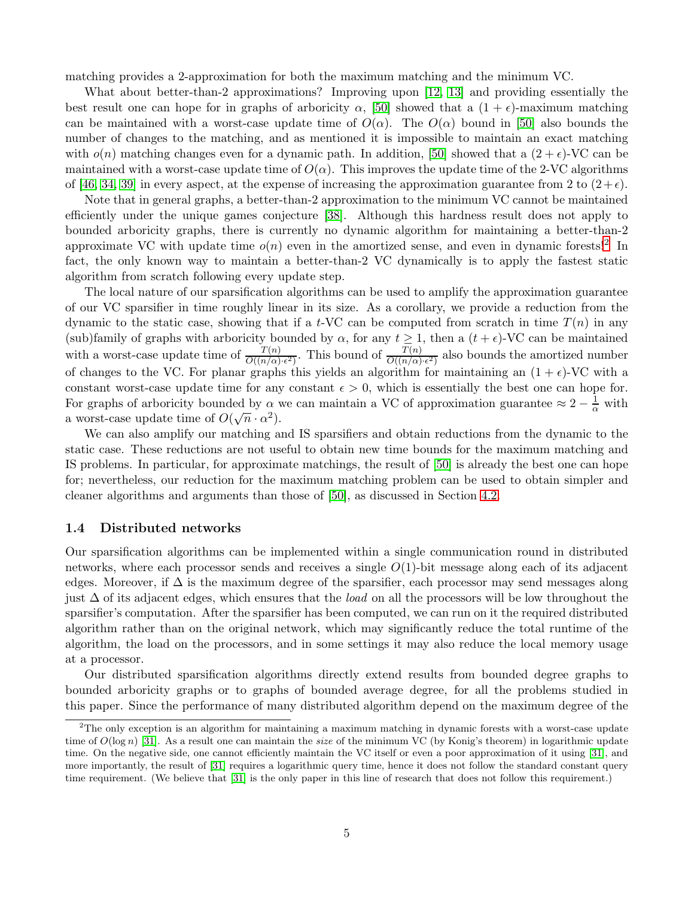matching provides a 2-approximation for both the maximum matching and the minimum VC.

What about better-than-2 approximations? Improving upon [\[12,](#page-16-13) [13\]](#page-16-9) and providing essentially the best result one can hope for in graphs of arboricity  $\alpha$ , [\[50\]](#page-18-12) showed that a  $(1 + \epsilon)$ -maximum matching can be maintained with a worst-case update time of  $O(\alpha)$ . The  $O(\alpha)$  bound in [\[50\]](#page-18-12) also bounds the number of changes to the matching, and as mentioned it is impossible to maintain an exact matching with  $o(n)$  matching changes even for a dynamic path. In addition, [\[50\]](#page-18-12) showed that a  $(2+\epsilon)$ -VC can be maintained with a worst-case update time of  $O(\alpha)$ . This improves the update time of the 2-VC algorithms of [\[46,](#page-18-11) [34,](#page-17-13) [39\]](#page-17-12) in every aspect, at the expense of increasing the approximation guarantee from 2 to  $(2+\epsilon)$ .

Note that in general graphs, a better-than-2 approximation to the minimum VC cannot be maintained efficiently under the unique games conjecture [\[38\]](#page-17-14). Although this hardness result does not apply to bounded arboricity graphs, there is currently no dynamic algorithm for maintaining a better-than-2 approximate VC with update time  $o(n)$  even in the amortized sense, and even in dynamic forests!<sup>[2](#page-5-0)</sup> In fact, the only known way to maintain a better-than-2 VC dynamically is to apply the fastest static algorithm from scratch following every update step.

The local nature of our sparsification algorithms can be used to amplify the approximation guarantee of our VC sparsifier in time roughly linear in its size. As a corollary, we provide a reduction from the dynamic to the static case, showing that if a t-VC can be computed from scratch in time  $T(n)$  in any (sub)family of graphs with arboricity bounded by  $\alpha$ , for any  $t > 1$ , then a  $(t + \epsilon)$ -VC can be maintained with a worst-case update time of  $\frac{T(n)}{O((n/\alpha) \cdot \epsilon^2)}$ . This bound of  $\frac{T(n)}{O((n/\alpha) \cdot \epsilon^2)}$  also bounds the amortized number of changes to the VC. For planar graphs this yields an algorithm for maintaining an  $(1 + \epsilon)$ -VC with a constant worst-case update time for any constant  $\epsilon > 0$ , which is essentially the best one can hope for. For graphs of arboricity bounded by  $\alpha$  we can maintain a VC of approximation guarantee  $\approx 2 - \frac{1}{\alpha}$  with a worst-case update time of  $O(\sqrt{n} \cdot \alpha^2)$ .

We can also amplify our matching and IS sparsifiers and obtain reductions from the dynamic to the static case. These reductions are not useful to obtain new time bounds for the maximum matching and IS problems. In particular, for approximate matchings, the result of [\[50\]](#page-18-12) is already the best one can hope for; nevertheless, our reduction for the maximum matching problem can be used to obtain simpler and cleaner algorithms and arguments than those of [\[50\]](#page-18-12), as discussed in Section [4.2.](#page-12-0)

### <span id="page-5-1"></span>1.4 Distributed networks

Our sparsification algorithms can be implemented within a single communication round in distributed networks, where each processor sends and receives a single  $O(1)$ -bit message along each of its adjacent edges. Moreover, if  $\Delta$  is the maximum degree of the sparsifier, each processor may send messages along just ∆ of its adjacent edges, which ensures that the *load* on all the processors will be low throughout the sparsifier's computation. After the sparsifier has been computed, we can run on it the required distributed algorithm rather than on the original network, which may significantly reduce the total runtime of the algorithm, the load on the processors, and in some settings it may also reduce the local memory usage at a processor.

Our distributed sparsification algorithms directly extend results from bounded degree graphs to bounded arboricity graphs or to graphs of bounded average degree, for all the problems studied in this paper. Since the performance of many distributed algorithm depend on the maximum degree of the

<span id="page-5-0"></span><sup>&</sup>lt;sup>2</sup>The only exception is an algorithm for maintaining a maximum matching in dynamic forests with a worst-case update time of  $O(\log n)$  [\[31\]](#page-17-15). As a result one can maintain the *size* of the minimum VC (by Konig's theorem) in logarithmic update time. On the negative side, one cannot efficiently maintain the VC itself or even a poor approximation of it using [\[31\]](#page-17-15), and more importantly, the result of [\[31\]](#page-17-15) requires a logarithmic query time, hence it does not follow the standard constant query time requirement. (We believe that [\[31\]](#page-17-15) is the only paper in this line of research that does not follow this requirement.)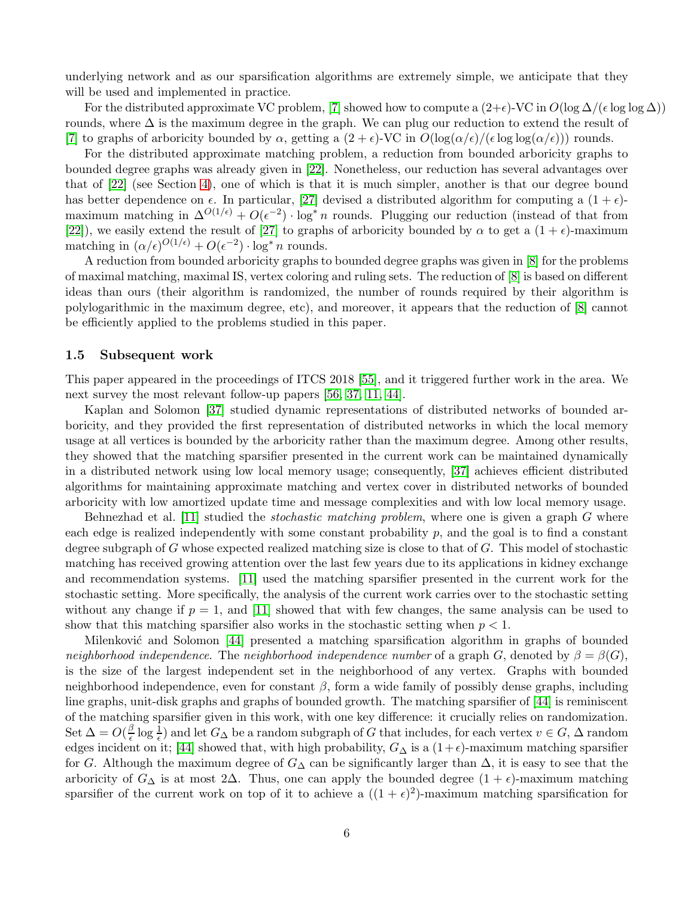underlying network and as our sparsification algorithms are extremely simple, we anticipate that they will be used and implemented in practice.

For the distributed approximate VC problem, [\[7\]](#page-16-14) showed how to compute a  $(2+\epsilon)$ -VC in  $O(\log \Delta/(\epsilon \log \log \Delta))$ rounds, where  $\Delta$  is the maximum degree in the graph. We can plug our reduction to extend the result of [\[7\]](#page-16-14) to graphs of arboricity bounded by  $\alpha$ , getting a  $(2 + \epsilon)$ -VC in  $O(\log(\alpha/\epsilon)/(\epsilon \log \log(\alpha/\epsilon)))$  rounds.

For the distributed approximate matching problem, a reduction from bounded arboricity graphs to bounded degree graphs was already given in [\[22\]](#page-17-16). Nonetheless, our reduction has several advantages over that of [\[22\]](#page-17-16) (see Section [4\)](#page-11-1), one of which is that it is much simpler, another is that our degree bound has better dependence on  $\epsilon$ . In particular, [\[27\]](#page-17-8) devised a distributed algorithm for computing a  $(1 + \epsilon)$ maximum matching in  $\Delta^{O(1/\epsilon)} + O(\epsilon^{-2}) \cdot \log^* n$  rounds. Plugging our reduction (instead of that from [\[22\]](#page-17-16)), we easily extend the result of [\[27\]](#page-17-8) to graphs of arboricity bounded by  $\alpha$  to get a  $(1 + \epsilon)$ -maximum matching in  $(\alpha/\epsilon)^{O(1/\epsilon)} + O(\epsilon^{-2}) \cdot \log^* n$  rounds.

A reduction from bounded arboricity graphs to bounded degree graphs was given in [\[8\]](#page-16-15) for the problems of maximal matching, maximal IS, vertex coloring and ruling sets. The reduction of [\[8\]](#page-16-15) is based on different ideas than ours (their algorithm is randomized, the number of rounds required by their algorithm is polylogarithmic in the maximum degree, etc), and moreover, it appears that the reduction of [\[8\]](#page-16-15) cannot be efficiently applied to the problems studied in this paper.

### 1.5 Subsequent work

This paper appeared in the proceedings of ITCS 2018 [\[55\]](#page-18-14), and it triggered further work in the area. We next survey the most relevant follow-up papers [\[56,](#page-18-15) [37,](#page-17-17) [11,](#page-16-16) [44\]](#page-18-16).

Kaplan and Solomon [\[37\]](#page-17-17) studied dynamic representations of distributed networks of bounded arboricity, and they provided the first representation of distributed networks in which the local memory usage at all vertices is bounded by the arboricity rather than the maximum degree. Among other results, they showed that the matching sparsifier presented in the current work can be maintained dynamically in a distributed network using low local memory usage; consequently, [\[37\]](#page-17-17) achieves efficient distributed algorithms for maintaining approximate matching and vertex cover in distributed networks of bounded arboricity with low amortized update time and message complexities and with low local memory usage.

Behnezhad et al. [\[11\]](#page-16-16) studied the *stochastic matching problem*, where one is given a graph G where each edge is realized independently with some constant probability  $p$ , and the goal is to find a constant degree subgraph of  $G$  whose expected realized matching size is close to that of  $G$ . This model of stochastic matching has received growing attention over the last few years due to its applications in kidney exchange and recommendation systems. [\[11\]](#page-16-16) used the matching sparsifier presented in the current work for the stochastic setting. More specifically, the analysis of the current work carries over to the stochastic setting without any change if  $p = 1$ , and [\[11\]](#page-16-16) showed that with few changes, the same analysis can be used to show that this matching sparsifier also works in the stochastic setting when  $p < 1$ .

Milenković and Solomon [\[44\]](#page-18-16) presented a matching sparsification algorithm in graphs of bounded *neighborhood independence*. The *neighborhood independence number* of a graph G, denoted by  $\beta = \beta(G)$ , is the size of the largest independent set in the neighborhood of any vertex. Graphs with bounded neighborhood independence, even for constant  $\beta$ , form a wide family of possibly dense graphs, including line graphs, unit-disk graphs and graphs of bounded growth. The matching sparsifier of [\[44\]](#page-18-16) is reminiscent of the matching sparsifier given in this work, with one key difference: it crucially relies on randomization. Set  $\Delta = O(\frac{\beta}{\epsilon})$  $\frac{\beta}{\epsilon}$  log  $\frac{1}{\epsilon}$ ) and let  $G_{\Delta}$  be a random subgraph of G that includes, for each vertex  $v \in G$ ,  $\Delta$  random edges incident on it; [\[44\]](#page-18-16) showed that, with high probability,  $G_{\Delta}$  is a (1+ $\epsilon$ )-maximum matching sparsifier for G. Although the maximum degree of  $G_{\Delta}$  can be significantly larger than  $\Delta$ , it is easy to see that the arboricity of  $G_{\Delta}$  is at most 2 $\Delta$ . Thus, one can apply the bounded degree  $(1 + \epsilon)$ -maximum matching sparsifier of the current work on top of it to achieve a  $((1 + \epsilon)^2)$ -maximum matching sparsification for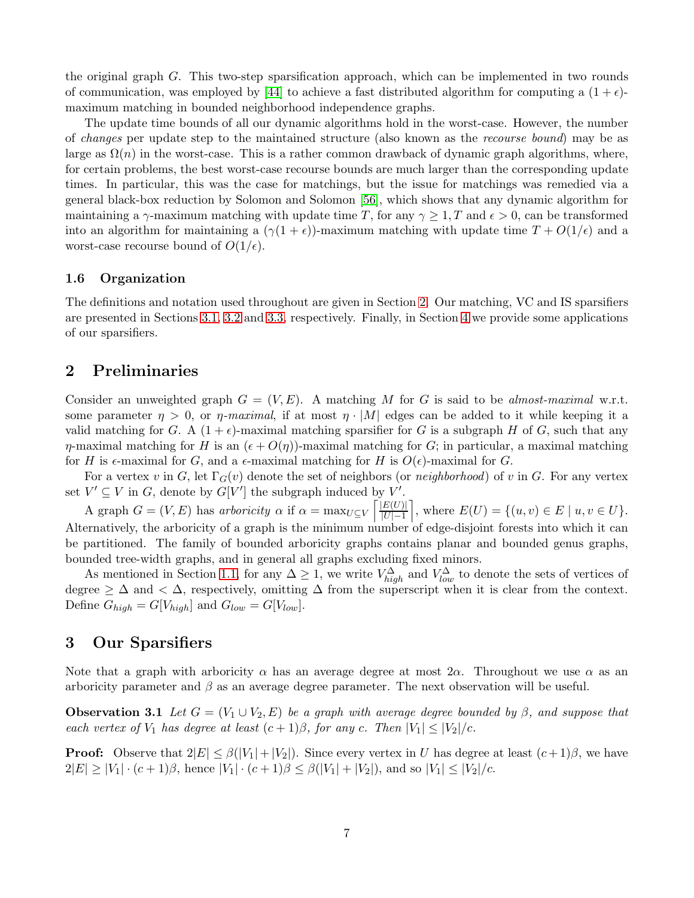the original graph G. This two-step sparsification approach, which can be implemented in two rounds of communication, was employed by [\[44\]](#page-18-16) to achieve a fast distributed algorithm for computing a  $(1 + \epsilon)$ maximum matching in bounded neighborhood independence graphs.

The update time bounds of all our dynamic algorithms hold in the worst-case. However, the number of *changes* per update step to the maintained structure (also known as the *recourse bound*) may be as large as  $\Omega(n)$  in the worst-case. This is a rather common drawback of dynamic graph algorithms, where, for certain problems, the best worst-case recourse bounds are much larger than the corresponding update times. In particular, this was the case for matchings, but the issue for matchings was remedied via a general black-box reduction by Solomon and Solomon [\[56\]](#page-18-15), which shows that any dynamic algorithm for maintaining a  $\gamma$ -maximum matching with update time T, for any  $\gamma \geq 1$ , T and  $\epsilon > 0$ , can be transformed into an algorithm for maintaining a  $(\gamma(1+\epsilon))$ -maximum matching with update time  $T + O(1/\epsilon)$  and a worst-case recourse bound of  $O(1/\epsilon)$ .

## 1.6 Organization

The definitions and notation used throughout are given in Section [2.](#page-7-0) Our matching, VC and IS sparsifiers are presented in Sections [3.1,](#page-8-0) [3.2](#page-10-0) and [3.3,](#page-11-0) respectively. Finally, in Section [4](#page-11-1) we provide some applications of our sparsifiers.

## <span id="page-7-0"></span>2 Preliminaries

Consider an unweighted graph  $G = (V, E)$ . A matching M for G is said to be *almost-maximal* w.r.t. some parameter  $\eta > 0$ , or  $\eta$ -maximal, if at most  $\eta \cdot |M|$  edges can be added to it while keeping it a valid matching for G. A  $(1 + \epsilon)$ -maximal matching sparsifier for G is a subgraph H of G, such that any  $\eta$ -maximal matching for H is an  $(\epsilon + O(\eta))$ -maximal matching for G; in particular, a maximal matching for H is  $\epsilon$ -maximal for G, and a  $\epsilon$ -maximal matching for H is  $O(\epsilon)$ -maximal for G.

For a vertex v in G, let  $\Gamma_G(v)$  denote the set of neighbors (or *neighborhood*) of v in G. For any vertex set  $V' \subseteq V$  in G, denote by  $G[V']$  the subgraph induced by  $V'$ .

A graph  $G = (V, E)$  has *arboricity*  $\alpha$  if  $\alpha = \max_{U \subseteq V} \left[ \frac{E(U)}{|U| - 1} \right]$  $|U|-1$ , where  $E(U) = \{(u, v) \in E \mid u, v \in U\}.$ Alternatively, the arboricity of a graph is the minimum number of edge-disjoint forests into which it can be partitioned. The family of bounded arboricity graphs contains planar and bounded genus graphs, bounded tree-width graphs, and in general all graphs excluding fixed minors.

As mentioned in Section [1.1,](#page-3-0) for any  $\Delta \geq 1$ , we write  $V_{high}^{\Delta}$  and  $V_{low}^{\Delta}$  to denote the sets of vertices of degree  $\geq \Delta$  and  $\lt \Delta$ , respectively, omitting  $\Delta$  from the superscript when it is clear from the context. Define  $G_{high} = G[V_{high}]$  and  $G_{low} = G[V_{low}]$ .

## 3 Our Sparsifiers

<span id="page-7-1"></span>Note that a graph with arboricity  $\alpha$  has an average degree at most  $2\alpha$ . Throughout we use  $\alpha$  as an arboricity parameter and  $\beta$  as an average degree parameter. The next observation will be useful.

**Observation 3.1** *Let*  $G = (V_1 \cup V_2, E)$  *be a graph with average degree bounded by*  $\beta$ *, and suppose that each vertex of*  $V_1$  *has degree at least*  $(c+1)\beta$ *, for any c. Then*  $|V_1| \leq |V_2|/c$ *.* 

**Proof:** Observe that  $2|E| \leq \beta(|V_1| + |V_2|)$ . Since every vertex in U has degree at least  $(c+1)\beta$ , we have  $2|E| \geq |V_1| \cdot (c+1)\beta$ , hence  $|V_1| \cdot (c+1)\beta \leq \beta(|V_1| + |V_2|)$ , and so  $|V_1| \leq |V_2|/c$ .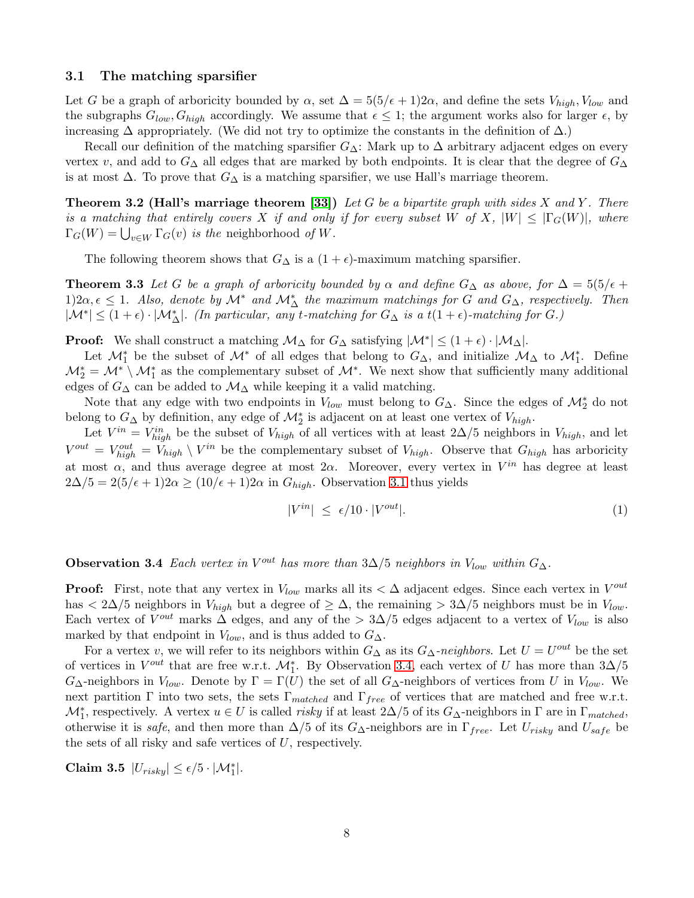#### <span id="page-8-0"></span>3.1 The matching sparsifier

Let G be a graph of arboricity bounded by  $\alpha$ , set  $\Delta = 5(5/\epsilon + 1)2\alpha$ , and define the sets  $V_{high}$ ,  $V_{low}$  and the subgraphs  $G_{low}, G_{high}$  accordingly. We assume that  $\epsilon \leq 1$ ; the argument works also for larger  $\epsilon$ , by increasing  $\Delta$  appropriately. (We did not try to optimize the constants in the definition of  $\Delta$ .)

Recall our definition of the matching sparsifier  $G_{\Delta}$ : Mark up to  $\Delta$  arbitrary adjacent edges on every vertex v, and add to  $G_{\Delta}$  all edges that are marked by both endpoints. It is clear that the degree of  $G_{\Delta}$ is at most  $\Delta$ . To prove that  $G_{\Delta}$  is a matching sparsifier, we use Hall's marriage theorem.

Theorem 3.2 (Hall's marriage theorem [\[33\]](#page-17-18)) *Let* G *be a bipartite graph with sides* X *and* Y *. There is a matching that entirely covers* X *if and only if for every subset* W of X,  $|W| \leq |\Gamma_G(W)|$ , where  $\Gamma_G(W) = \bigcup_{v \in W} \Gamma_G(v)$  *is the* neighborhood *of* W.

The following theorem shows that  $G_{\Delta}$  is a  $(1 + \epsilon)$ -maximum matching sparsifier.

**Theorem 3.3** Let G be a graph of arboricity bounded by  $\alpha$  and define  $G_{\Delta}$  as above, for  $\Delta = 5(5/\epsilon + 1)$ 1)2 $\alpha, \epsilon \leq 1$ . Also, denote by  $\mathcal{M}^*$  and  $\mathcal{M}^*_{\Delta}$  the maximum matchings for G and  $G_{\Delta}$ , respectively. Then  $|\mathcal{M}^*| \leq (1+\epsilon) \cdot |\mathcal{M}^*_{\Delta}|$ . (In particular, any t-matching for  $G_{\Delta}$  is a  $t(1+\epsilon)$ -matching for  $G$ .)

**Proof:** We shall construct a matching  $M_{\Delta}$  for  $G_{\Delta}$  satisfying  $|M^*| \leq (1 + \epsilon) \cdot |M_{\Delta}|$ .

Let  $\mathcal{M}_1^*$  be the subset of  $\mathcal{M}^*$  of all edges that belong to  $G_{\Delta}$ , and initialize  $\mathcal{M}_{\Delta}$  to  $\mathcal{M}_1^*$ . Define  $\mathcal{M}_2^* = \mathcal{M}^* \setminus \mathcal{M}_1^*$  as the complementary subset of  $\mathcal{M}^*$ . We next show that sufficiently many additional edges of  $G_{\Delta}$  can be added to  $\mathcal{M}_{\Delta}$  while keeping it a valid matching.

Note that any edge with two endpoints in  $V_{low}$  must belong to  $G_{\Delta}$ . Since the edges of  $\mathcal{M}_2^*$  do not belong to  $G_{\Delta}$  by definition, any edge of  $\mathcal{M}_{2}^{*}$  is adjacent on at least one vertex of  $V_{high}$ .

Let  $V^{in} = V^{in}_{high}$  be the subset of  $V_{high}$  of all vertices with at least 2∆/5 neighbors in  $V_{high}$ , and let  $V^{out} = V_{high}^{out} = V_{high} \setminus V^{in}$  be the complementary subset of  $V_{high}$ . Observe that  $G_{high}$  has arboricity at most  $\alpha$ , and thus average degree at most  $2\alpha$ . Moreover, every vertex in  $V^{in}$  has degree at least  $2\Delta/5 = 2(5/\epsilon + 1)2\alpha \ge (10/\epsilon + 1)2\alpha$  in  $G_{high}$ . Observation [3.1](#page-7-1) thus yields

<span id="page-8-5"></span><span id="page-8-4"></span><span id="page-8-3"></span><span id="page-8-2"></span>
$$
|V^{in}| \le \epsilon/10 \cdot |V^{out}|. \tag{1}
$$

<span id="page-8-1"></span>**Observation 3.4** *Each vertex in*  $V^{out}$  *has more than*  $3\Delta/5$  *neighbors in*  $V_{low}$  *within*  $G_{\Delta}$ *.* 

**Proof:** First, note that any vertex in  $V_{low}$  marks all its  $\lt \Delta$  adjacent edges. Since each vertex in  $V^{out}$ has  $\langle 2\Delta/5$  neighbors in  $V_{high}$  but a degree of  $\geq \Delta$ , the remaining  $> 3\Delta/5$  neighbors must be in  $V_{low}$ . Each vertex of  $V^{out}$  marks  $\Delta$  edges, and any of the  $> 3\Delta/5$  edges adjacent to a vertex of  $V_{low}$  is also marked by that endpoint in  $V_{low}$ , and is thus added to  $G_{\Delta}$ .

For a vertex v, we will refer to its neighbors within  $G_{\Delta}$  as its  $G_{\Delta}$ -neighbors. Let  $U = U^{out}$  be the set of vertices in  $V^{out}$  that are free w.r.t.  $\mathcal{M}_{1}^{*}$ . By Observation [3.4,](#page-8-1) each vertex of U has more than  $3\Delta/5$  $G_{\Delta}$ -neighbors in  $V_{low}$ . Denote by  $\Gamma = \Gamma(U)$  the set of all  $G_{\Delta}$ -neighbors of vertices from U in  $V_{low}$ . We next partition Γ into two sets, the sets Γ<sub>matched</sub> and Γ<sub>free</sub> of vertices that are matched and free w.r.t.  $\mathcal{M}_1^*$ , respectively. A vertex  $u \in U$  is called *risky* if at least 2∆/5 of its  $G_{\Delta}$ -neighbors in  $\Gamma$  are in  $\Gamma_{matched}$ , otherwise it is *safe*, and then more than  $\Delta/5$  of its  $G_{\Delta}$ -neighbors are in  $\Gamma_{free}$ . Let  $U_{risky}$  and  $U_{safe}$  be the sets of all risky and safe vertices of U, respectively.

Claim 3.5  $|U_{risky}| \leq \epsilon/5 \cdot |\mathcal{M}_1^*|$ .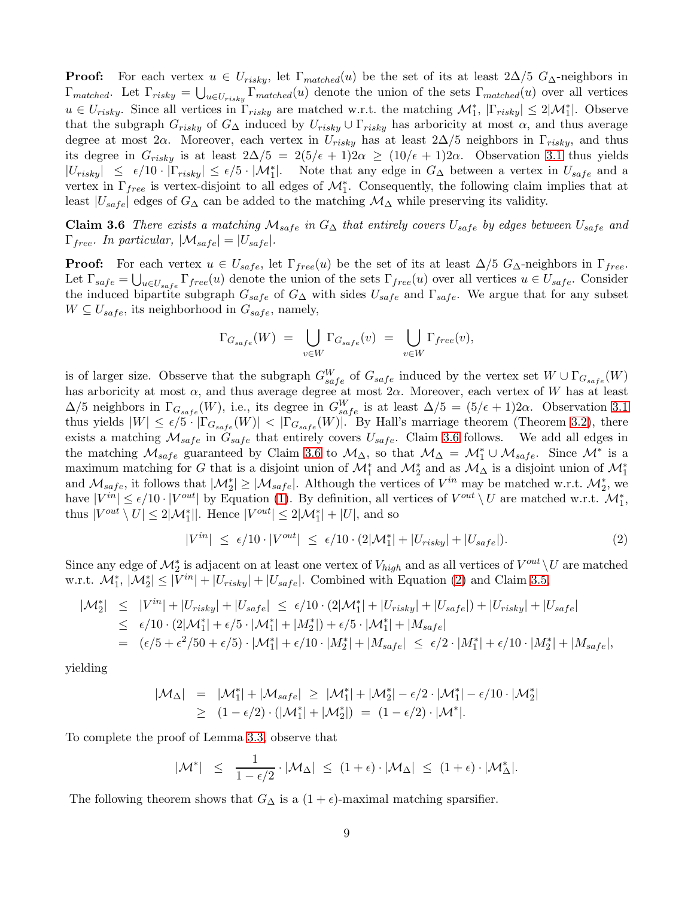**Proof:** For each vertex  $u \in U_{risky}$ , let  $\Gamma_{matched}(u)$  be the set of its at least  $2\Delta/5$   $G_{\Delta}$ -neighbors in  $\Gamma_{matched}$ . Let  $\Gamma_{risky} = \bigcup_{u \in U_{risky}} \Gamma_{matched}(u)$  denote the union of the sets  $\Gamma_{matched}(u)$  over all vertices  $u \in U_{risky}$ . Since all vertices in  $\Gamma_{risky}$  are matched w.r.t. the matching  $\mathcal{M}_1^*$ ,  $|\Gamma_{risky}| \leq 2|\mathcal{M}_1^*|$ . Observe that the subgraph  $G_{risky}$  of  $G_{\Delta}$  induced by  $U_{risky} \cup \Gamma_{risky}$  has arboricity at most  $\alpha$ , and thus average degree at most 2 $\alpha$ . Moreover, each vertex in  $U_{risky}$  has at least 2 $\Delta/5$  neighbors in  $\Gamma_{risky}$ , and thus its degree in  $G_{risky}$  is at least  $2\Delta/5 = 2(5/\epsilon + 1)2\alpha \ge (10/\epsilon + 1)2\alpha$ . Observation [3.1](#page-7-1) thus yields  $|U_{risky}| \leq \epsilon/10 \cdot |\Gamma_{risky}| \leq \epsilon/5 \cdot |\mathcal{M}_1^*|$ . Note that any edge in  $G_{\Delta}$  between a vertex in  $U_{safe}$  and a vertex in  $\Gamma_{free}$  is vertex-disjoint to all edges of  $\mathcal{M}_1^*$ . Consequently, the following claim implies that at least  $|U_{safe}|$  edges of  $G_{\Delta}$  can be added to the matching  $\mathcal{M}_{\Delta}$  while preserving its validity.

Claim 3.6 *There exists a matching*  $M_{safe}$  *in*  $G_{\Delta}$  *that entirely covers*  $U_{safe}$  *by edges between*  $U_{safe}$  *and*  $\Gamma_{free}$ *. In particular,*  $|\mathcal{M}_{safe}| = |U_{safe}|$ *.* 

**Proof:** For each vertex  $u \in U_{safe}$ , let  $\Gamma_{free}(u)$  be the set of its at least  $\Delta/5$   $G_{\Delta}$ -neighbors in  $\Gamma_{free}$ . Let  $\Gamma_{safe} = \bigcup_{u \in U_{safe}} \Gamma_{free}(u)$  denote the union of the sets  $\Gamma_{free}(u)$  over all vertices  $u \in U_{safe}$ . Consider the induced bipartite subgraph  $G_{safe}$  of  $G_{\Delta}$  with sides  $U_{safe}$  and  $\Gamma_{safe}$ . We argue that for any subset  $W \subseteq U_{safe}$ , its neighborhood in  $G_{safe}$ , namely,

<span id="page-9-0"></span>
$$
\Gamma_{G_{safe}}(W) = \bigcup_{v \in W} \Gamma_{G_{safe}}(v) = \bigcup_{v \in W} \Gamma_{free}(v),
$$

is of larger size. Obsserve that the subgraph  $G_{safe}^W$  of  $G_{safe}$  induced by the vertex set  $W \cup \Gamma_{G_{safe}}(W)$ has arboricity at most  $\alpha$ , and thus average degree at most  $2\alpha$ . Moreover, each vertex of W has at least  $\Delta/5$  neighbors in  $\Gamma_{G_{safe}}(W)$ , i.e., its degree in  $G_{safe}^W$  is at least  $\Delta/5 = (5/\epsilon + 1)2\alpha$ . Observation [3.1](#page-7-1) thus yields  $|W| \leq \epsilon/5 \cdot |\Gamma_{G_{safe}}(W)| < |\Gamma_{G_{safe}}(W)|$ . By Hall's marriage theorem (Theorem [3.2\)](#page-8-2), there exists a matching  $\mathcal{M}_{safe}$  in  $G_{safe}$  that entirely covers  $U_{safe}$ . Claim [3.6](#page-9-0) follows. We add all edges in the matching  $\mathcal{M}_{safe}$  guaranteed by Claim [3.6](#page-9-0) to  $\mathcal{M}_{\Delta}$ , so that  $\mathcal{M}_{\Delta} = \mathcal{M}_1^* \cup \mathcal{M}_{safe}$ . Since  $\mathcal{M}^*$  is a maximum matching for G that is a disjoint union of  $\mathcal{M}_1^*$  and  $\mathcal{M}_2^*$  and as  $\mathcal{M}_\Delta$  is a disjoint union of  $\mathcal{M}_1^*$ and  $M_{safe}$ , it follows that  $|\mathcal{M}_2^*| \geq |\mathcal{M}_{safe}|$ . Although the vertices of  $V^{in}$  may be matched w.r.t.  $\mathcal{M}_2^*$ , we have  $|V^{in}| \leq \epsilon/10 \cdot |V^{out}|$  by Equation [\(1\)](#page-8-3). By definition, all vertices of  $V^{out} \setminus U$  are matched w.r.t.  $\mathcal{M}_1^*$ , thus  $|V^{out} \setminus U| \leq 2|\mathcal{M}_1^*||$ . Hence  $|V^{out}| \leq 2|\mathcal{M}_1^*| + |U|$ , and so

<span id="page-9-1"></span>
$$
|V^{in}| \leq \epsilon/10 \cdot |V^{out}| \leq \epsilon/10 \cdot (2|\mathcal{M}_1^*| + |U_{risky}| + |U_{safe}|). \tag{2}
$$

Since any edge of  $\mathcal{M}_2^*$  is adjacent on at least one vertex of  $V_{high}$  and as all vertices of  $V^{out} \setminus U$  are matched w.r.t.  $\mathcal{M}_{1}^{*}$ ,  $|\mathcal{M}_{2}^{*}| \leq |V^{in}| + |U_{risky}| + |U_{safe}|$ . Combined with Equation [\(2\)](#page-9-1) and Claim [3.5,](#page-8-4)

$$
|\mathcal{M}_{2}^{*}| \leq |V^{in}| + |U_{risky}| + |U_{safe}| \leq \epsilon/10 \cdot (2|\mathcal{M}_{1}^{*}| + |U_{risky}| + |U_{safe}|) + |U_{risky}| + |U_{safe}|
$$
  
\n
$$
\leq \epsilon/10 \cdot (2|\mathcal{M}_{1}^{*}| + \epsilon/5 \cdot |\mathcal{M}_{1}^{*}| + |M_{2}^{*}|) + \epsilon/5 \cdot |\mathcal{M}_{1}^{*}| + |M_{safe}|
$$
  
\n
$$
= (\epsilon/5 + \epsilon^{2}/50 + \epsilon/5) \cdot |\mathcal{M}_{1}^{*}| + \epsilon/10 \cdot |M_{2}^{*}| + |M_{safe}| \leq \epsilon/2 \cdot |M_{1}^{*}| + \epsilon/10 \cdot |M_{2}^{*}| + |M_{safe}|,
$$

yielding

$$
|\mathcal{M}_{\Delta}| = |\mathcal{M}_{1}^{*}| + |\mathcal{M}_{safe}| \geq |\mathcal{M}_{1}^{*}| + |\mathcal{M}_{2}^{*}| - \epsilon/2 \cdot |\mathcal{M}_{1}^{*}| - \epsilon/10 \cdot |\mathcal{M}_{2}^{*}|
$$
  
\n
$$
\geq (1 - \epsilon/2) \cdot (|\mathcal{M}_{1}^{*}| + |\mathcal{M}_{2}^{*}|) = (1 - \epsilon/2) \cdot |\mathcal{M}^{*}|.
$$

To complete the proof of Lemma [3.3,](#page-8-5) observe that

<span id="page-9-2"></span>
$$
|\mathcal{M}^*| \leq \frac{1}{1-\epsilon/2} \cdot |\mathcal{M}_{\Delta}| \leq (1+\epsilon) \cdot |\mathcal{M}_{\Delta}| \leq (1+\epsilon) \cdot |\mathcal{M}_{\Delta}^*|.
$$

The following theorem shows that  $G_{\Delta}$  is a  $(1 + \epsilon)$ -maximal matching sparsifier.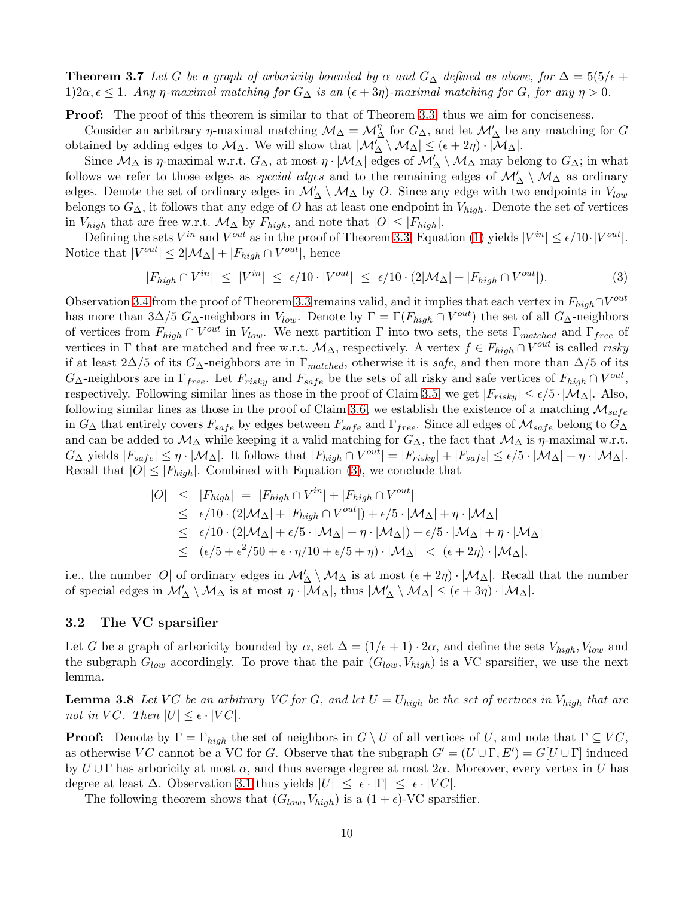**Theorem 3.7** Let G be a graph of arboricity bounded by  $\alpha$  and  $G_{\Delta}$  defined as above, for  $\Delta = 5(5/\epsilon + 1)$ 1)2 $\alpha$ ,  $\epsilon \leq 1$ *. Any*  $\eta$ -maximal matching for  $G_{\Delta}$  is an  $(\epsilon + 3\eta)$ -maximal matching for G, for any  $\eta > 0$ *.* 

**Proof:** The proof of this theorem is similar to that of Theorem [3.3,](#page-8-5) thus we aim for conciseness.

Consider an arbitrary  $\eta$ -maximal matching  $\mathcal{M}_{\Delta} = \mathcal{M}_{\Delta}^{\eta}$  for  $G_{\Delta}$ , and let  $\mathcal{M}'_{\Delta}$  be any matching for G obtained by adding edges to  $\mathcal{M}_{\Delta}$ . We will show that  $|\mathcal{M}'_{\Delta} \setminus \mathcal{M}_{\Delta}| \leq (\epsilon + 2\eta) \cdot |\mathcal{M}_{\Delta}|$ .

Since  $\mathcal{M}_{\Delta}$  is  $\eta$ -maximal w.r.t.  $G_{\Delta}$ , at most  $\eta \cdot |\mathcal{M}_{\Delta}|$  edges of  $\mathcal{M}'_{\Delta} \setminus \mathcal{M}_{\Delta}$  may belong to  $G_{\Delta}$ ; in what follows we refer to those edges as *special edges* and to the remaining edges of  $\mathcal{M}'_{\Delta} \setminus \mathcal{M}_{\Delta}$  as ordinary edges. Denote the set of ordinary edges in  $\mathcal{M}'_{\Delta} \setminus \mathcal{M}_{\Delta}$  by O. Since any edge with two endpoints in  $V_{low}$ belongs to  $G_{\Delta}$ , it follows that any edge of O has at least one endpoint in  $V_{high}$ . Denote the set of vertices in  $V_{high}$  that are free w.r.t.  $\mathcal{M}_{\Delta}$  by  $F_{high}$ , and note that  $|O| \leq |F_{high}|$ .

Defining the sets  $V^{in}$  and  $V^{out}$  as in the proof of Theorem [3.3,](#page-8-5) Equation [\(1\)](#page-8-3) yields  $|V^{in}| \leq \epsilon/10 \cdot |V^{out}|$ . Notice that  $|V^{out}| \leq 2|\mathcal{M}_{\Delta}| + |F_{high} \cap V^{out}|$ , hence

<span id="page-10-1"></span>
$$
|F_{high} \cap V^{in}| \le |V^{in}| \le \epsilon/10 \cdot |V^{out}| \le \epsilon/10 \cdot (2|\mathcal{M}_{\Delta}| + |F_{high} \cap V^{out}|). \tag{3}
$$

Observation [3.4](#page-8-1) from the proof of Theorem [3.3](#page-8-5) remains valid, and it implies that each vertex in  $F_{high} \cap V^{out}$ has more than 3∆/5  $G_{\Delta}$ -neighbors in  $V_{low}$ . Denote by  $\Gamma = \Gamma(F_{high} \cap V^{out})$  the set of all  $G_{\Delta}$ -neighbors of vertices from  $F_{high} \cap V^{out}$  in  $V_{low}$ . We next partition  $\Gamma$  into two sets, the sets  $\Gamma_{matched}$  and  $\Gamma_{free}$  of vertices in  $\Gamma$  that are matched and free w.r.t.  $\mathcal{M}_{\Delta}$ , respectively. A vertex  $f \in F_{high} \cap V^{out}$  is called *risky* if at least 2∆/5 of its  $G_{\Delta}$ -neighbors are in  $\Gamma_{matched}$ , otherwise it is *safe*, and then more than  $\Delta/5$  of its  $G_{\Delta}$ -neighbors are in  $\Gamma_{free}$ . Let  $F_{risky}$  and  $F_{safe}$  be the sets of all risky and safe vertices of  $F_{high} \cap V^{out}$ , respectively. Following similar lines as those in the proof of Claim [3.5,](#page-8-4) we get  $|F_{risky}| \leq \epsilon/5 \cdot |\mathcal{M}_\Delta|$ . Also, following similar lines as those in the proof of Claim [3.6,](#page-9-0) we establish the existence of a matching  $\mathcal{M}_{safe}$ in  $G_{\Delta}$  that entirely covers  $F_{safe}$  by edges between  $F_{safe}$  and  $\Gamma_{free}$ . Since all edges of  $\mathcal{M}_{safe}$  belong to  $G_{\Delta}$ and can be added to  $\mathcal{M}\Delta$  while keeping it a valid matching for  $G_{\Delta}$ , the fact that  $\mathcal{M}\Delta$  is  $\eta$ -maximal w.r.t.  $G_{\Delta}$  yields  $|F_{safe}| \leq \eta \cdot |\mathcal{M}_{\Delta}|$ . It follows that  $|F_{high} \cap V^{out}| = |F_{risky}| + |F_{safe}| \leq \epsilon/5 \cdot |\mathcal{M}_{\Delta}| + \eta \cdot |\mathcal{M}_{\Delta}|$ . Recall that  $|O| \leq |F_{high}|$ . Combined with Equation [\(3\)](#page-10-1), we conclude that

$$
|O| \leq |F_{high}| = |F_{high} \cap V^{in}| + |F_{high} \cap V^{out}|
$$
  
\n
$$
\leq \epsilon/10 \cdot (2|\mathcal{M}_{\Delta}| + |F_{high} \cap V^{out}|) + \epsilon/5 \cdot |\mathcal{M}_{\Delta}| + \eta \cdot |\mathcal{M}_{\Delta}|
$$
  
\n
$$
\leq \epsilon/10 \cdot (2|\mathcal{M}_{\Delta}| + \epsilon/5 \cdot |\mathcal{M}_{\Delta}| + \eta \cdot |\mathcal{M}_{\Delta}|) + \epsilon/5 \cdot |\mathcal{M}_{\Delta}| + \eta \cdot |\mathcal{M}_{\Delta}|
$$
  
\n
$$
\leq (\epsilon/5 + \epsilon^2/50 + \epsilon \cdot \eta/10 + \epsilon/5 + \eta) \cdot |\mathcal{M}_{\Delta}| < (\epsilon + 2\eta) \cdot |\mathcal{M}_{\Delta}|,
$$

i.e., the number |O| of ordinary edges in  $\mathcal{M}'_{\Delta} \setminus \mathcal{M}_{\Delta}$  is at most  $(\epsilon + 2\eta) \cdot |\mathcal{M}_{\Delta}|$ . Recall that the number of special edges in  $\mathcal{M}'_{\Delta} \setminus \mathcal{M}_{\Delta}$  is at most  $\eta \cdot |\mathcal{M}_{\Delta}|$ , thus  $|\mathcal{M}'_{\Delta} \setminus \mathcal{M}_{\Delta}| \leq (\epsilon + 3\eta) \cdot |\mathcal{M}_{\Delta}|$ .

#### <span id="page-10-0"></span>3.2 The VC sparsifier

Let G be a graph of arboricity bounded by  $\alpha$ , set  $\Delta = (1/\epsilon + 1) \cdot 2\alpha$ , and define the sets  $V_{high}$ ,  $V_{low}$  and the subgraph  $G_{low}$  accordingly. To prove that the pair  $(G_{low}, V_{high})$  is a VC sparsifier, we use the next lemma.

<span id="page-10-2"></span>**Lemma 3.8** Let VC be an arbitrary VC for G, and let  $U = U_{high}$  be the set of vertices in  $V_{high}$  that are *not in* VC. Then  $|U| \leq \epsilon \cdot |VC|$ .

**Proof:** Denote by  $\Gamma = \Gamma_{high}$  the set of neighbors in  $G \setminus U$  of all vertices of U, and note that  $\Gamma \subseteq VC$ , as otherwise VC cannot be a VC for G. Observe that the subgraph  $G' = (U \cup \Gamma, E') = G[U \cup \Gamma]$  induced by  $U \cup \Gamma$  has arboricity at most  $\alpha$ , and thus average degree at most  $2\alpha$ . Moreover, every vertex in U has degree at least  $\Delta$ . Observation [3.1](#page-7-1) thus yields  $|U| \leq \epsilon \cdot |\Gamma| \leq \epsilon \cdot |VC|$ .

<span id="page-10-3"></span>The following theorem shows that  $(G_{low}, V_{high})$  is a  $(1 + \epsilon)$ -VC sparsifier.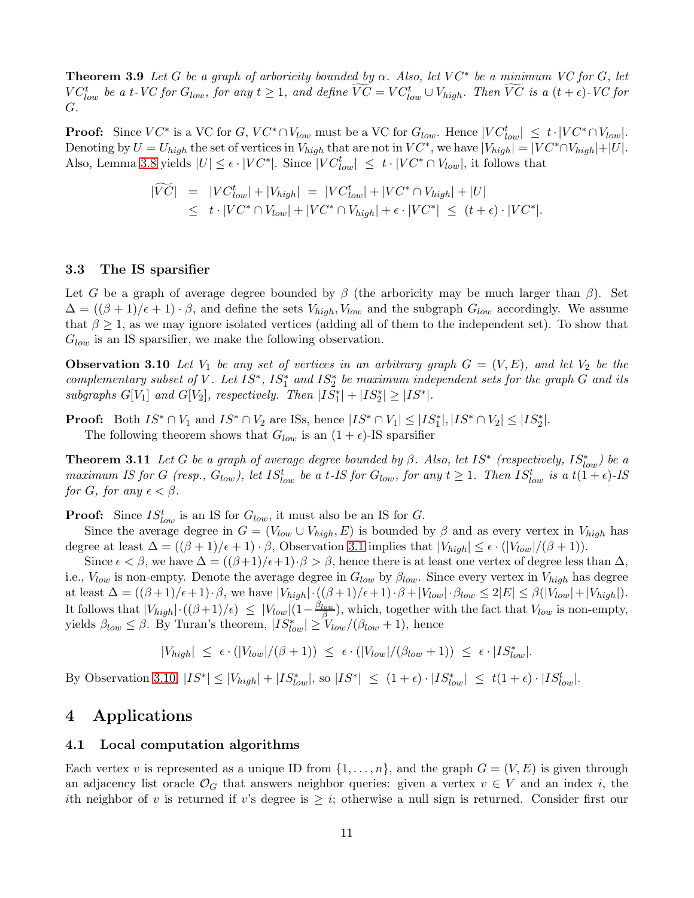**Theorem 3.9** Let G be a graph of arboricity bounded by  $\alpha$ . Also, let  $VC^*$  be a minimum VC for G, let  $VC_{low}^t$  be a t-VC for  $G_{low}$ , for any  $t \geq 1$ , and define  $\widetilde{VC} = VC_{low}^t \cup V_{high}$ . Then  $\widetilde{VC}$  is a  $(t + \epsilon)$ -VC for G*.*

**Proof:** Since  $VC^*$  is a VC for  $G, VC^* \cap V_{low}$  must be a VC for  $G_{low}$ . Hence  $|VC^t_{low}| \leq t \cdot |VC^* \cap V_{low}|$ . Denoting by  $U = U_{high}$  the set of vertices in  $V_{high}$  that are not in  $VC^*$ , we have  $|V_{high}| = |VC^* \cap V_{high}| + |U|$ . Also, Lemma [3.8](#page-10-2) yields  $|U| \leq \epsilon \cdot |VC^*|$ . Since  $|VC^t_{low}| \leq t \cdot |VC^* \cap V_{low}|$ , it follows that

<span id="page-11-2"></span>
$$
\begin{aligned}\n|\widetilde{VC}| &= |VC_{low}^t| + |V_{high}| = |VC_{low}^t| + |VC^* \cap V_{high}| + |U| \\
&\leq t \cdot |VC^* \cap V_{low}| + |VC^* \cap V_{high}| + \epsilon \cdot |VC^*| \leq (t + \epsilon) \cdot |VC^*|.\n\end{aligned}
$$

## <span id="page-11-0"></span>3.3 The IS sparsifier

Let G be a graph of average degree bounded by  $\beta$  (the arboricity may be much larger than  $\beta$ ). Set  $\Delta = ((\beta + 1)/\epsilon + 1) \cdot \beta$ , and define the sets  $V_{high}$ ,  $V_{low}$  and the subgraph  $G_{low}$  accordingly. We assume that  $\beta \geq 1$ , as we may ignore isolated vertices (adding all of them to the independent set). To show that  $G_{low}$  is an IS sparsifier, we make the following observation.

**Observation 3.10** Let  $V_1$  be any set of vertices in an arbitrary graph  $G = (V, E)$ , and let  $V_2$  be the  $complementary subset of V$ . Let  $IS^*$ ,  $IS_1^*$  and  $IS_2^*$  be maximum independent sets for the graph  $G$  and its  $subgraphs\ G[V_1]\ and\ G[V_2],\ respectively.\ Then\ |IS_1^*| + |IS_2^*| \ge |IS^*|.$ 

**Proof:** Both  $IS^* \cap V_1$  and  $IS^* \cap V_2$  are ISs, hence  $|IS^* \cap V_1| \leq |IS_1^*|, |IS^* \cap V_2| \leq |IS_2^*|$ . The following theorem shows that  $G_{low}$  is an  $(1 + \epsilon)$ -IS sparsifier

**Theorem 3.11** *Let* G *be a graph of average degree bounded by*  $\beta$ . Also, let IS<sup>\*</sup> (respectively,  $IS^*_{low}$ ) be a *maximum IS for* G (resp.,  $G_{low}$ ), let  $IS_{low}^t$  be a t-IS for  $G_{low}$ , for any  $t \geq 1$ . Then  $IS_{low}^t$  is a  $t(1+\epsilon)$ -IS *for G, for any*  $\epsilon < \beta$ *.* 

**Proof:** Since  $IS_{low}^t$  is an IS for  $G_{low}$ , it must also be an IS for  $G$ .

Since the average degree in  $G = (V_{low} \cup V_{high}, E)$  is bounded by  $\beta$  and as every vertex in  $V_{high}$  has degree at least  $\Delta = ((\beta + 1)/\epsilon + 1) \cdot \beta$ , Observation [3.1](#page-7-1) implies that  $|V_{high}| \leq \epsilon \cdot (|V_{low}|/(\beta + 1))$ .

Since  $\epsilon < \beta$ , we have  $\Delta = ((\beta+1)/\epsilon+1)\cdot \beta > \beta$ , hence there is at least one vertex of degree less than  $\Delta$ , i.e.,  $V_{low}$  is non-empty. Denote the average degree in  $G_{low}$  by  $\beta_{low}$ . Since every vertex in  $V_{high}$  has degree at least  $\Delta = ((\beta + 1)/\epsilon + 1) \cdot \beta$ , we have  $|V_{high}| \cdot ((\beta + 1)/\epsilon + 1) \cdot \beta + |V_{low}| \cdot \beta_{low} \leq 2|E| \leq \beta(|V_{low}| + |V_{high}|)$ . It follows that  $|V_{high}| \cdot ((\beta+1)/\epsilon) \leq |V_{low}|(1-\frac{\beta_{low}}{\beta})$ , which, together with the fact that  $V_{low}$  is non-empty, yields  $\beta_{low} \leq \beta$ . By Turan's theorem,  $|IS^*_{low}| \geq V_{low}/(\beta_{low}+1)$ , hence

$$
|V_{high}| \leq \epsilon \cdot (|V_{low}|/(\beta+1)) \leq \epsilon \cdot (|V_{low}|/(\beta_{low}+1)) \leq \epsilon \cdot |IS_{low}^*|.
$$

By Observation [3.10,](#page-11-2)  $|IS^*| \leq |V_{high}| + |IS^*_{low}|$ , so  $|IS^*| \leq (1+\epsilon) \cdot |IS^*_{low}| \leq t(1+\epsilon) \cdot |IS^t_{low}|$ .

## <span id="page-11-1"></span>4 Applications

### 4.1 Local computation algorithms

Each vertex v is represented as a unique ID from  $\{1, \ldots, n\}$ , and the graph  $G = (V, E)$  is given through an adjacency list oracle  $\mathcal{O}_G$  that answers neighbor queries: given a vertex  $v \in V$  and an index i, the ith neighbor of v is returned if v's degree is  $\geq i$ ; otherwise a null sign is returned. Consider first our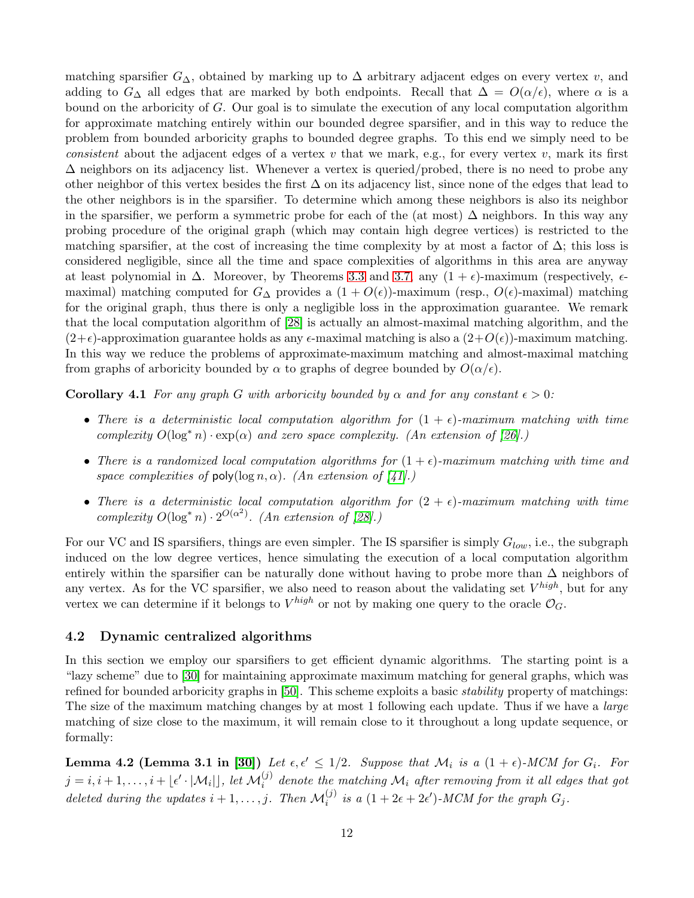matching sparsifier  $G_{\Delta}$ , obtained by marking up to  $\Delta$  arbitrary adjacent edges on every vertex v, and adding to  $G_{\Delta}$  all edges that are marked by both endpoints. Recall that  $\Delta = O(\alpha/\epsilon)$ , where  $\alpha$  is a bound on the arboricity of G. Our goal is to simulate the execution of any local computation algorithm for approximate matching entirely within our bounded degree sparsifier, and in this way to reduce the problem from bounded arboricity graphs to bounded degree graphs. To this end we simply need to be *consistent* about the adjacent edges of a vertex v that we mark, e.g., for every vertex v, mark its first  $\Delta$  neighbors on its adjacency list. Whenever a vertex is queried/probed, there is no need to probe any other neighbor of this vertex besides the first  $\Delta$  on its adjacency list, since none of the edges that lead to the other neighbors is in the sparsifier. To determine which among these neighbors is also its neighbor in the sparsifier, we perform a symmetric probe for each of the (at most)  $\Delta$  neighbors. In this way any probing procedure of the original graph (which may contain high degree vertices) is restricted to the matching sparsifier, at the cost of increasing the time complexity by at most a factor of  $\Delta$ ; this loss is considered negligible, since all the time and space complexities of algorithms in this area are anyway at least polynomial in  $\Delta$ . Moreover, by Theorems [3.3](#page-8-5) and [3.7,](#page-9-2) any  $(1 + \epsilon)$ -maximum (respectively,  $\epsilon$ maximal) matching computed for  $G_{\Delta}$  provides a  $(1 + O(\epsilon))$ -maximum (resp.,  $O(\epsilon)$ -maximal) matching for the original graph, thus there is only a negligible loss in the approximation guarantee. We remark that the local computation algorithm of [\[28\]](#page-17-10) is actually an almost-maximal matching algorithm, and the  $(2+\epsilon)$ -approximation guarantee holds as any  $\epsilon$ -maximal matching is also a  $(2+O(\epsilon))$ -maximum matching. In this way we reduce the problems of approximate-maximum matching and almost-maximal matching from graphs of arboricity bounded by  $\alpha$  to graphs of degree bounded by  $O(\alpha/\epsilon)$ .

**Corollary 4.1** *For any graph* G *with arboricity bounded by*  $\alpha$  *and for any constant*  $\epsilon > 0$ *:* 

- There is a deterministic local computation algorithm for  $(1 + \epsilon)$ -maximum matching with time *complexity*  $O(\log^* n) \cdot \exp(\alpha)$  *and zero space complexity. (An extension of [\[26\]](#page-17-7).)*
- *There is a randomized local computation algorithms for*  $(1 + \epsilon)$ *-maximum matching with time and space complexities of* poly( $\log n, \alpha$ )*. (An extension of [\[41\]](#page-18-9).)*
- *There is a deterministic local computation algorithm for*  $(2 + \epsilon)$ *-maximum matching with time*  $complexity O(log^* n) \cdot 2^{O(\alpha^2)}$ . (An extension of [\[28\]](#page-17-10).)

For our VC and IS sparsifiers, things are even simpler. The IS sparsifier is simply  $G_{low}$ , i.e., the subgraph induced on the low degree vertices, hence simulating the execution of a local computation algorithm entirely within the sparsifier can be naturally done without having to probe more than  $\Delta$  neighbors of any vertex. As for the VC sparsifier, we also need to reason about the validating set  $V^{high}$ , but for any vertex we can determine if it belongs to  $V^{high}$  or not by making one query to the oracle  $\mathcal{O}_G$ .

## <span id="page-12-0"></span>4.2 Dynamic centralized algorithms

In this section we employ our sparsifiers to get efficient dynamic algorithms. The starting point is a "lazy scheme" due to [\[30\]](#page-17-11) for maintaining approximate maximum matching for general graphs, which was refined for bounded arboricity graphs in [\[50\]](#page-18-12). This scheme exploits a basic *stability* property of matchings: The size of the maximum matching changes by at most 1 following each update. Thus if we have a *large* matching of size close to the maximum, it will remain close to it throughout a long update sequence, or formally:

<span id="page-12-1"></span>**Lemma 4.2 (Lemma 3.1 in [\[30\]](#page-17-11))** Let  $\epsilon, \epsilon' \leq 1/2$ . Suppose that  $\mathcal{M}_i$  is a  $(1 + \epsilon)$ -MCM for  $G_i$ . For  $j = i, i+1, \ldots, i + \lfloor \epsilon' \cdot |\mathcal{M}_i| \rfloor$ , let  $\mathcal{M}_i^{(j)}$  denote the matching  $\mathcal{M}_i$  after removing from it all edges that got *deleted during the updates*  $i + 1, \ldots, j$ *. Then*  $\mathcal{M}_i^{(j)}$  *is a*  $(1 + 2\epsilon + 2\epsilon')$ *-MCM for the graph*  $G_j$ *.*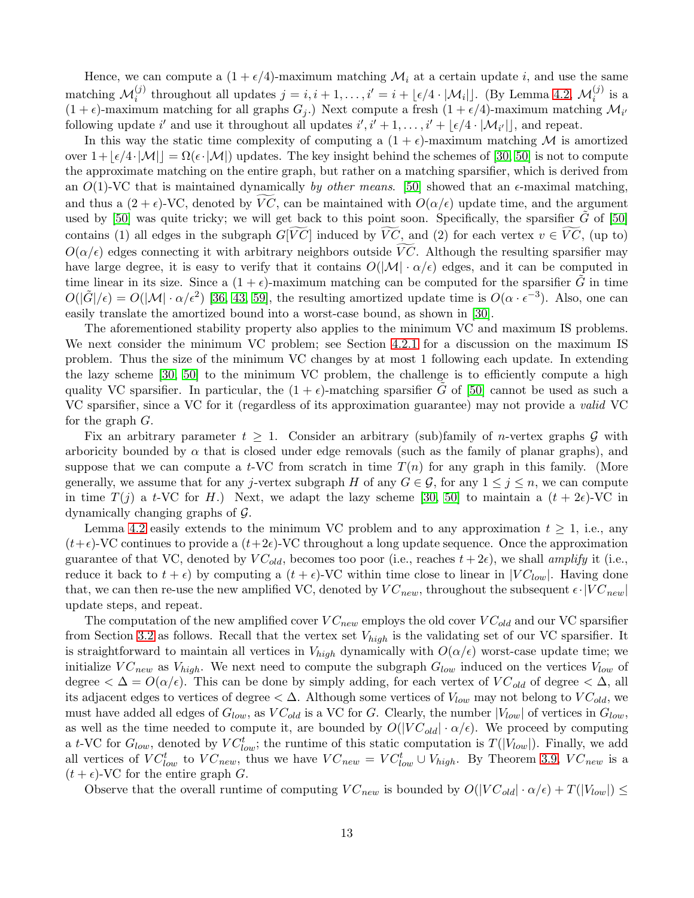Hence, we can compute a  $(1 + \epsilon/4)$ -maximum matching  $\mathcal{M}_i$  at a certain update i, and use the same matching  $\mathcal{M}_i^{(j)}$  throughout all updates  $j = i, i + 1, \ldots, i' = i + \lfloor \epsilon/4 \cdot |\mathcal{M}_i| \rfloor$ . (By Lemma [4.2,](#page-12-1)  $\mathcal{M}_i^{(j)}$  is a  $(1 + \epsilon)$ -maximum matching for all graphs  $G_j$ .) Next compute a fresh  $(1 + \epsilon/4)$ -maximum matching  $\mathcal{M}_{i'}$ following update i' and use it throughout all updates  $i', i' + 1, \ldots, i' + \lfloor \epsilon/4 \cdot |\mathcal{M}_{i'}| \rfloor$ , and repeat.

In this way the static time complexity of computing a  $(1 + \epsilon)$ -maximum matching M is amortized over  $1+|\epsilon/4\cdot|\mathcal{M}|=\Omega(\epsilon\cdot|\mathcal{M}|)$  updates. The key insight behind the schemes of [\[30,](#page-17-11) [50\]](#page-18-12) is not to compute the approximate matching on the entire graph, but rather on a matching sparsifier, which is derived from an  $O(1)$ -VC that is maintained dynamically *by other means*. [\[50\]](#page-18-12) showed that an  $\epsilon$ -maximal matching, and thus a  $(2 + \epsilon)$ -VC, denoted by VC, can be maintained with  $O(\alpha/\epsilon)$  update time, and the argument used by [\[50\]](#page-18-12) was quite tricky; we will get back to this point soon. Specifically, the sparsifier  $\tilde{G}$  of [50] contains (1) all edges in the subgraph  $G[\overline{VC}]$  induced by  $\overline{VC}$ , and (2) for each vertex  $v \in \overline{VC}$ , (up to)  $O(\alpha/\epsilon)$  edges connecting it with arbitrary neighbors outside  $\widetilde{VC}$ . Although the resulting sparsifier may have large degree, it is easy to verify that it contains  $O(|\mathcal{M}| \cdot \alpha/\epsilon)$  edges, and it can be computed in time linear in its size. Since a  $(1 + \epsilon)$ -maximum matching can be computed for the sparsifier G in time  $O(|\tilde{G}|/\epsilon) = O(|\mathcal{M}| \cdot \alpha/\epsilon^2)$  [\[36,](#page-17-19) [43,](#page-18-17) [59\]](#page-18-18), the resulting amortized update time is  $O(\alpha \cdot \epsilon^{-3})$ . Also, one can easily translate the amortized bound into a worst-case bound, as shown in [\[30\]](#page-17-11).

The aforementioned stability property also applies to the minimum VC and maximum IS problems. We next consider the minimum VC problem; see Section [4.2.1](#page-14-0) for a discussion on the maximum IS problem. Thus the size of the minimum VC changes by at most 1 following each update. In extending the lazy scheme [\[30,](#page-17-11) [50\]](#page-18-12) to the minimum VC problem, the challenge is to efficiently compute a high quality VC sparsifier. In particular, the  $(1 + \epsilon)$ -matching sparsifier G of [\[50\]](#page-18-12) cannot be used as such a VC sparsifier, since a VC for it (regardless of its approximation guarantee) may not provide a *valid* VC for the graph G.

Fix an arbitrary parameter  $t \geq 1$ . Consider an arbitrary (sub)family of *n*-vertex graphs G with arboricity bounded by  $\alpha$  that is closed under edge removals (such as the family of planar graphs), and suppose that we can compute a t-VC from scratch in time  $T(n)$  for any graph in this family. (More generally, we assume that for any j-vertex subgraph H of any  $G \in \mathcal{G}$ , for any  $1 \leq j \leq n$ , we can compute in time  $T(j)$  a t-VC for H.) Next, we adapt the lazy scheme [\[30,](#page-17-11) [50\]](#page-18-12) to maintain a  $(t + 2\epsilon)$ -VC in dynamically changing graphs of G.

Lemma [4.2](#page-12-1) easily extends to the minimum VC problem and to any approximation  $t \geq 1$ , i.e., any  $(t+\epsilon)$ -VC continues to provide a  $(t+2\epsilon)$ -VC throughout a long update sequence. Once the approximation guarantee of that VC, denoted by  $VC_{old}$ , becomes too poor (i.e., reaches  $t + 2\epsilon$ ), we shall *amplify* it (i.e., reduce it back to  $t + \epsilon$ ) by computing a  $(t + \epsilon)$ -VC within time close to linear in  $|VC_{low}|$ . Having done that, we can then re-use the new amplified VC, denoted by  $VC_{new}$ , throughout the subsequent  $\epsilon \cdot |VC_{new}|$ update steps, and repeat.

The computation of the new amplified cover  $VC_{new}$  employs the old cover  $VC_{old}$  and our VC sparsifier from Section [3.2](#page-10-0) as follows. Recall that the vertex set  $V_{high}$  is the validating set of our VC sparsifier. It is straightforward to maintain all vertices in  $V_{high}$  dynamically with  $O(\alpha/\epsilon)$  worst-case update time; we initialize  $VC_{new}$  as  $V_{high}$ . We next need to compute the subgraph  $G_{low}$  induced on the vertices  $V_{low}$  of degree  $\langle \Delta = O(\alpha/\epsilon)$ . This can be done by simply adding, for each vertex of  $VC_{old}$  of degree  $\langle \Delta, \Delta \rangle$ its adjacent edges to vertices of degree  $\langle \Delta$ . Although some vertices of  $V_{low}$  may not belong to  $VC_{old}$ , we must have added all edges of  $G_{low}$ , as  $VC_{old}$  is a VC for G. Clearly, the number  $|V_{low}|$  of vertices in  $G_{low}$ , as well as the time needed to compute it, are bounded by  $O(|VC_{old}| \cdot \alpha/\epsilon)$ . We proceed by computing a t-VC for  $G_{low}$ , denoted by  $VC_{low}^t$ ; the runtime of this static computation is  $T(|V_{low}|)$ . Finally, we add all vertices of  $VC_{low}^t$  to  $VC_{new}$ , thus we have  $VC_{new} = VC_{low}^t \cup V_{high}$ . By Theorem [3.9,](#page-10-3)  $VC_{new}$  is a  $(t + \epsilon)$ -VC for the entire graph G.

Observe that the overall runtime of computing  $VC_{new}$  is bounded by  $O(|VC_{old}| \cdot \alpha/\epsilon) + T(|V_{low}|) \le$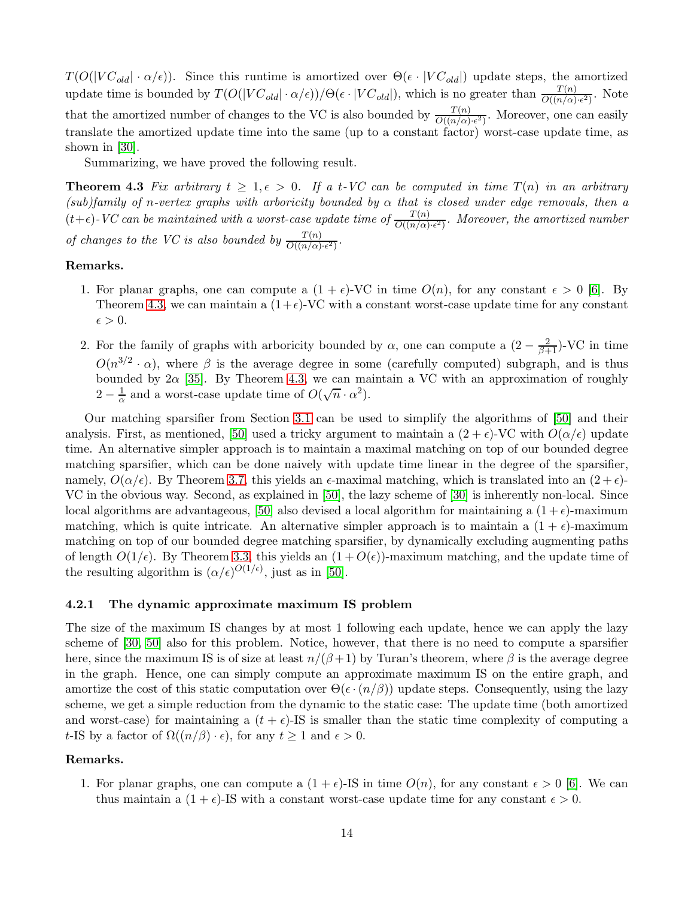$T(O(|VC_{old}|\cdot\alpha/\epsilon))$ . Since this runtime is amortized over  $\Theta(\epsilon \cdot |VC_{old}|)$  update steps, the amortized update time is bounded by  $T(O(|VC_{old}|\cdot\alpha/\epsilon))/\Theta(\epsilon\cdot|VC_{old}|)$ , which is no greater than  $\frac{T(n)}{O((n/\alpha)\cdot\epsilon^2)}$ . Note that the amortized number of changes to the VC is also bounded by  $\frac{T(n)}{O((n/\alpha) \cdot \epsilon^2)}$ . Moreover, one can easily translate the amortized update time into the same (up to a constant factor) worst-case update time, as shown in [\[30\]](#page-17-11).

<span id="page-14-1"></span>Summarizing, we have proved the following result.

**Theorem 4.3** Fix arbitrary  $t \geq 1, \epsilon > 0$ . If a t-VC can be computed in time  $T(n)$  in an arbitrary *(sub)family of* n*-vertex graphs with arboricity bounded by* α *that is closed under edge removals, then a*  $(t+\epsilon)$ -*VC* can be maintained with a worst-case update time of  $\frac{T(n)}{O((n/\alpha)\cdot\epsilon^2)}$ . Moreover, the amortized number *of changes to the VC is also bounded by*  $\frac{T(n)}{O((n/\alpha)\cdot\epsilon^2)}$ .

#### Remarks.

- 1. For planar graphs, one can compute a  $(1 + \epsilon)$ -VC in time  $O(n)$ , for any constant  $\epsilon > 0$  [\[6\]](#page-16-17). By Theorem [4.3,](#page-14-1) we can maintain a  $(1+\epsilon)$ -VC with a constant worst-case update time for any constant  $\epsilon > 0$ .
- 2. For the family of graphs with arboricity bounded by  $\alpha$ , one can compute a  $(2 \frac{2}{\beta+1})$ -VC in time  $O(n^{3/2} \cdot \alpha)$ , where  $\beta$  is the average degree in some (carefully computed) subgraph, and is thus bounded by  $2\alpha$  [\[35\]](#page-17-20). By Theorem [4.3,](#page-14-1) we can maintain a VC with an approximation of roughly  $2-\frac{1}{\alpha}$  $\frac{1}{\alpha}$  and a worst-case update time of  $O(\sqrt{n} \cdot \alpha^2)$ .

Our matching sparsifier from Section [3.1](#page-8-0) can be used to simplify the algorithms of [\[50\]](#page-18-12) and their analysis. First, as mentioned, [\[50\]](#page-18-12) used a tricky argument to maintain a  $(2 + \epsilon)$ -VC with  $O(\alpha/\epsilon)$  update time. An alternative simpler approach is to maintain a maximal matching on top of our bounded degree matching sparsifier, which can be done naively with update time linear in the degree of the sparsifier, namely,  $O(\alpha/\epsilon)$ . By Theorem [3.7,](#page-9-2) this yields an  $\epsilon$ -maximal matching, which is translated into an  $(2+\epsilon)$ -VC in the obvious way. Second, as explained in [\[50\]](#page-18-12), the lazy scheme of [\[30\]](#page-17-11) is inherently non-local. Since local algorithms are advantageous, [\[50\]](#page-18-12) also devised a local algorithm for maintaining a  $(1+\epsilon)$ -maximum matching, which is quite intricate. An alternative simpler approach is to maintain a  $(1 + \epsilon)$ -maximum matching on top of our bounded degree matching sparsifier, by dynamically excluding augmenting paths of length  $O(1/\epsilon)$ . By Theorem [3.3,](#page-8-5) this yields an  $(1 + O(\epsilon))$ -maximum matching, and the update time of the resulting algorithm is  $(\alpha/\epsilon)^{O(1/\epsilon)}$ , just as in [\[50\]](#page-18-12).

## <span id="page-14-0"></span>4.2.1 The dynamic approximate maximum IS problem

The size of the maximum IS changes by at most 1 following each update, hence we can apply the lazy scheme of [\[30,](#page-17-11) [50\]](#page-18-12) also for this problem. Notice, however, that there is no need to compute a sparsifier here, since the maximum IS is of size at least  $n/(\beta+1)$  by Turan's theorem, where  $\beta$  is the average degree in the graph. Hence, one can simply compute an approximate maximum IS on the entire graph, and amortize the cost of this static computation over  $\Theta(\epsilon \cdot (n/\beta))$  update steps. Consequently, using the lazy scheme, we get a simple reduction from the dynamic to the static case: The update time (both amortized and worst-case) for maintaining a  $(t + \epsilon)$ -IS is smaller than the static time complexity of computing a t-IS by a factor of  $\Omega((n/\beta) \cdot \epsilon)$ , for any  $t \ge 1$  and  $\epsilon > 0$ .

#### Remarks.

1. For planar graphs, one can compute a  $(1 + \epsilon)$ -IS in time  $O(n)$ , for any constant  $\epsilon > 0$  [\[6\]](#page-16-17). We can thus maintain a  $(1 + \epsilon)$ -IS with a constant worst-case update time for any constant  $\epsilon > 0$ .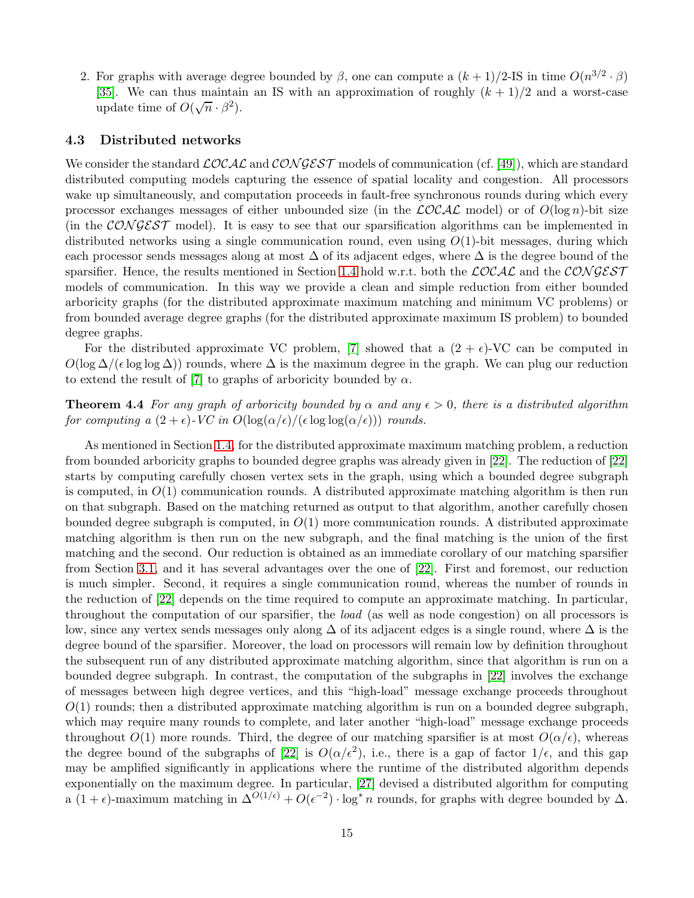2. For graphs with average degree bounded by  $\beta$ , one can compute a  $(k+1)/2$ -IS in time  $O(n^{3/2} \cdot \beta)$ [\[35\]](#page-17-20). We can thus maintain an IS with an approximation of roughly  $(k + 1)/2$  and a worst-case update time of  $O(\sqrt{n} \cdot \beta^2)$ .

## 4.3 Distributed networks

We consider the standard  $\mathcal{LOCAL}$  and  $\mathcal{CONGEST}$  models of communication (cf. [\[49\]](#page-18-19)), which are standard distributed computing models capturing the essence of spatial locality and congestion. All processors wake up simultaneously, and computation proceeds in fault-free synchronous rounds during which every processor exchanges messages of either unbounded size (in the  $\mathcal{LOCAL}$  model) or of  $O(\log n)$ -bit size (in the CONGEST model). It is easy to see that our sparsification algorithms can be implemented in distributed networks using a single communication round, even using  $O(1)$ -bit messages, during which each processor sends messages along at most  $\Delta$  of its adjacent edges, where  $\Delta$  is the degree bound of the sparsifier. Hence, the results mentioned in Section [1.4](#page-5-1) hold w.r.t. both the  $\mathcal{LOCAL}$  and the CON GEST models of communication. In this way we provide a clean and simple reduction from either bounded arboricity graphs (for the distributed approximate maximum matching and minimum VC problems) or from bounded average degree graphs (for the distributed approximate maximum IS problem) to bounded degree graphs.

For the distributed approximate VC problem, [\[7\]](#page-16-14) showed that a  $(2 + \epsilon)$ -VC can be computed in  $O(\log \Delta/(\epsilon \log \log \Delta))$  rounds, where  $\Delta$  is the maximum degree in the graph. We can plug our reduction to extend the result of [\[7\]](#page-16-14) to graphs of arboricity bounded by  $\alpha$ .

**Theorem 4.4** *For any graph of arboricity bounded by*  $\alpha$  *and any*  $\epsilon > 0$ *, there is a distributed algorithm for computing a*  $(2 + \epsilon)$ *-VC in*  $O(\log(\alpha/\epsilon)/(\epsilon \log \log(\alpha/\epsilon)))$  *rounds.* 

As mentioned in Section [1.4,](#page-5-1) for the distributed approximate maximum matching problem, a reduction from bounded arboricity graphs to bounded degree graphs was already given in [\[22\]](#page-17-16). The reduction of [\[22\]](#page-17-16) starts by computing carefully chosen vertex sets in the graph, using which a bounded degree subgraph is computed, in  $O(1)$  communication rounds. A distributed approximate matching algorithm is then run on that subgraph. Based on the matching returned as output to that algorithm, another carefully chosen bounded degree subgraph is computed, in  $O(1)$  more communication rounds. A distributed approximate matching algorithm is then run on the new subgraph, and the final matching is the union of the first matching and the second. Our reduction is obtained as an immediate corollary of our matching sparsifier from Section [3.1,](#page-8-0) and it has several advantages over the one of [\[22\]](#page-17-16). First and foremost, our reduction is much simpler. Second, it requires a single communication round, whereas the number of rounds in the reduction of [\[22\]](#page-17-16) depends on the time required to compute an approximate matching. In particular, throughout the computation of our sparsifier, the *load* (as well as node congestion) on all processors is low, since any vertex sends messages only along  $\Delta$  of its adjacent edges is a single round, where  $\Delta$  is the degree bound of the sparsifier. Moreover, the load on processors will remain low by definition throughout the subsequent run of any distributed approximate matching algorithm, since that algorithm is run on a bounded degree subgraph. In contrast, the computation of the subgraphs in [\[22\]](#page-17-16) involves the exchange of messages between high degree vertices, and this "high-load" message exchange proceeds throughout  $O(1)$  rounds; then a distributed approximate matching algorithm is run on a bounded degree subgraph, which may require many rounds to complete, and later another "high-load" message exchange proceeds throughout  $O(1)$  more rounds. Third, the degree of our matching sparsifier is at most  $O(\alpha/\epsilon)$ , whereas the degree bound of the subgraphs of [\[22\]](#page-17-16) is  $O(\alpha/\epsilon^2)$ , i.e., there is a gap of factor  $1/\epsilon$ , and this gap may be amplified significantly in applications where the runtime of the distributed algorithm depends exponentially on the maximum degree. In particular, [\[27\]](#page-17-8) devised a distributed algorithm for computing a  $(1+\epsilon)$ -maximum matching in  $\Delta^{O(1/\epsilon)} + O(\epsilon^{-2}) \cdot \log^* n$  rounds, for graphs with degree bounded by  $\Delta$ .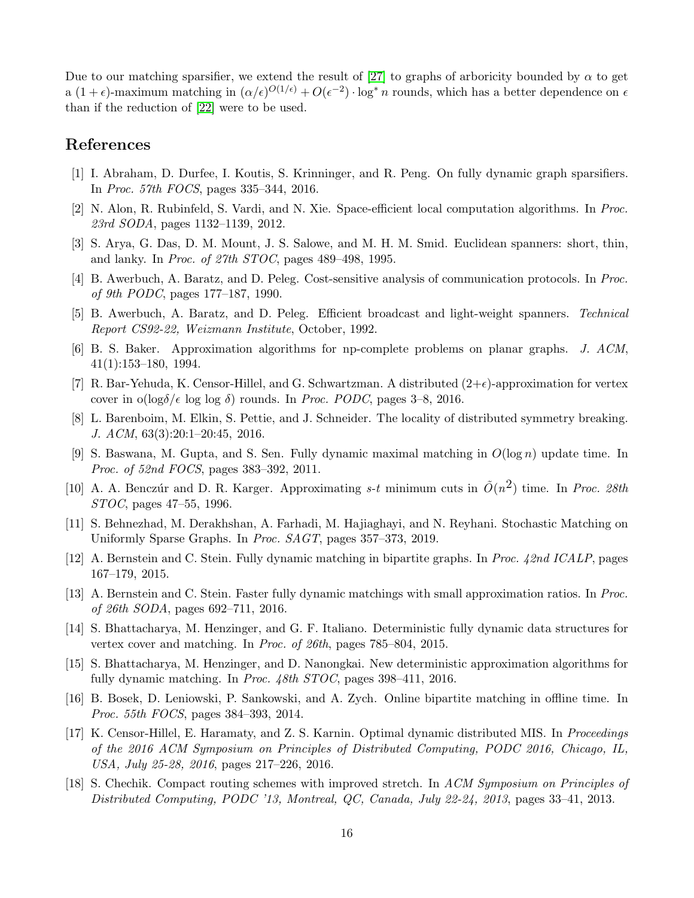Due to our matching sparsifier, we extend the result of [\[27\]](#page-17-8) to graphs of arboricity bounded by  $\alpha$  to get a  $(1+\epsilon)$ -maximum matching in  $(\alpha/\epsilon)^{O(1/\epsilon)} + O(\epsilon^{-2}) \cdot \log^* n$  rounds, which has a better dependence on  $\epsilon$ than if the reduction of [\[22\]](#page-17-16) were to be used.

## <span id="page-16-12"></span>References

- <span id="page-16-5"></span>[1] I. Abraham, D. Durfee, I. Koutis, S. Krinninger, and R. Peng. On fully dynamic graph sparsifiers. In *Proc. 57th FOCS*, pages 335–344, 2016.
- <span id="page-16-1"></span>[2] N. Alon, R. Rubinfeld, S. Vardi, and N. Xie. Space-efficient local computation algorithms. In *Proc. 23rd SODA*, pages 1132–1139, 2012.
- <span id="page-16-2"></span>[3] S. Arya, G. Das, D. M. Mount, J. S. Salowe, and M. H. M. Smid. Euclidean spanners: short, thin, and lanky. In *Proc. of 27th STOC*, pages 489–498, 1995.
- <span id="page-16-3"></span>[4] B. Awerbuch, A. Baratz, and D. Peleg. Cost-sensitive analysis of communication protocols. In *Proc. of 9th PODC*, pages 177–187, 1990.
- <span id="page-16-17"></span>[5] B. Awerbuch, A. Baratz, and D. Peleg. Efficient broadcast and light-weight spanners. *Technical Report CS92-22, Weizmann Institute*, October, 1992.
- <span id="page-16-14"></span>[6] B. S. Baker. Approximation algorithms for np-complete problems on planar graphs. *J. ACM*, 41(1):153–180, 1994.
- <span id="page-16-15"></span>[7] R. Bar-Yehuda, K. Censor-Hillel, and G. Schwartzman. A distributed  $(2+\epsilon)$ -approximation for vertex cover in  $o(log\delta/\epsilon loglog \ \delta)$  rounds. In *Proc. PODC*, pages 3–8, 2016.
- <span id="page-16-7"></span>[8] L. Barenboim, M. Elkin, S. Pettie, and J. Schneider. The locality of distributed symmetry breaking. *J. ACM*, 63(3):20:1–20:45, 2016.
- <span id="page-16-0"></span>[9] S. Baswana, M. Gupta, and S. Sen. Fully dynamic maximal matching in  $O(\log n)$  update time. In *Proc. of 52nd FOCS*, pages 383–392, 2011.
- <span id="page-16-16"></span>[10] A. A. Benczúr and D. R. Karger. Approximating  $s-t$  minimum cuts in  $\tilde{O}(n^2)$  time. In *Proc. 28th STOC*, pages 47–55, 1996.
- <span id="page-16-13"></span>[11] S. Behnezhad, M. Derakhshan, A. Farhadi, M. Hajiaghayi, and N. Reyhani. Stochastic Matching on Uniformly Sparse Graphs. In *Proc. SAGT*, pages 357–373, 2019.
- <span id="page-16-9"></span>[12] A. Bernstein and C. Stein. Fully dynamic matching in bipartite graphs. In *Proc. 42nd ICALP*, pages 167–179, 2015.
- <span id="page-16-8"></span>[13] A. Bernstein and C. Stein. Faster fully dynamic matchings with small approximation ratios. In *Proc. of 26th SODA*, pages 692–711, 2016.
- <span id="page-16-10"></span>[14] S. Bhattacharya, M. Henzinger, and G. F. Italiano. Deterministic fully dynamic data structures for vertex cover and matching. In *Proc. of 26th*, pages 785–804, 2015.
- <span id="page-16-11"></span>[15] S. Bhattacharya, M. Henzinger, and D. Nanongkai. New deterministic approximation algorithms for fully dynamic matching. In *Proc. 48th STOC*, pages 398–411, 2016.
- <span id="page-16-6"></span>[16] B. Bosek, D. Leniowski, P. Sankowski, and A. Zych. Online bipartite matching in offline time. In *Proc. 55th FOCS*, pages 384–393, 2014.
- [17] K. Censor-Hillel, E. Haramaty, and Z. S. Karnin. Optimal dynamic distributed MIS. In *Proceedings of the 2016 ACM Symposium on Principles of Distributed Computing, PODC 2016, Chicago, IL, USA, July 25-28, 2016*, pages 217–226, 2016.
- <span id="page-16-4"></span>[18] S. Chechik. Compact routing schemes with improved stretch. In *ACM Symposium on Principles of Distributed Computing, PODC '13, Montreal, QC, Canada, July 22-24, 2013*, pages 33–41, 2013.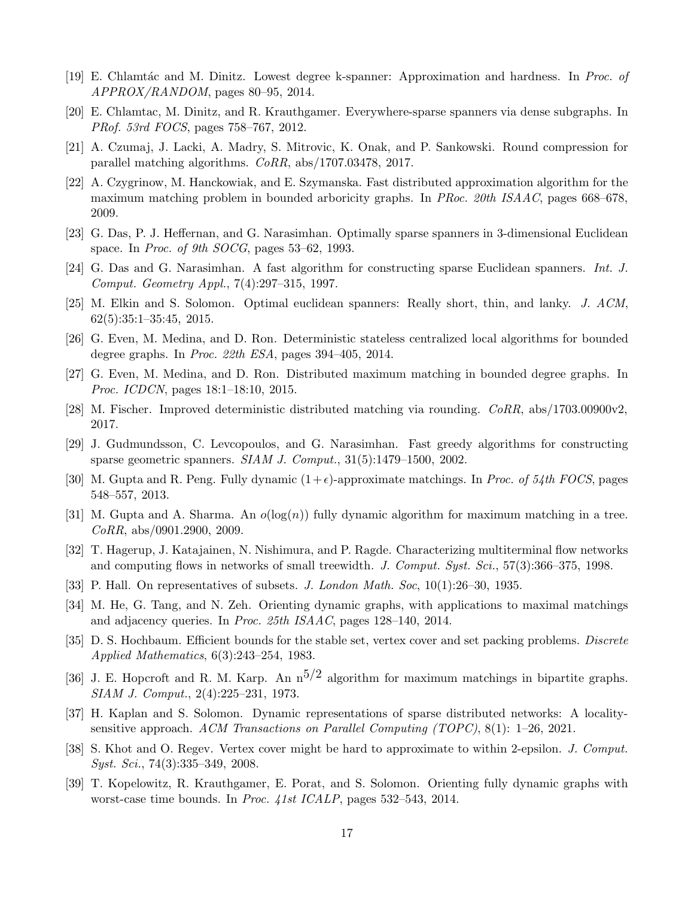- <span id="page-17-2"></span><span id="page-17-1"></span>[19] E. Chlamt´ac and M. Dinitz. Lowest degree k-spanner: Approximation and hardness. In *Proc. of APPROX/RANDOM*, pages 80–95, 2014.
- <span id="page-17-9"></span>[20] E. Chlamtac, M. Dinitz, and R. Krauthgamer. Everywhere-sparse spanners via dense subgraphs. In *PRof. 53rd FOCS*, pages 758–767, 2012.
- <span id="page-17-16"></span>[21] A. Czumaj, J. Lacki, A. Madry, S. Mitrovic, K. Onak, and P. Sankowski. Round compression for parallel matching algorithms. *CoRR*, abs/1707.03478, 2017.
- [22] A. Czygrinow, M. Hanckowiak, and E. Szymanska. Fast distributed approximation algorithm for the maximum matching problem in bounded arboricity graphs. In *PRoc. 20th ISAAC*, pages 668–678, 2009.
- <span id="page-17-4"></span><span id="page-17-3"></span>[23] G. Das, P. J. Heffernan, and G. Narasimhan. Optimally sparse spanners in 3-dimensional Euclidean space. In *Proc. of 9th SOCG*, pages 53–62, 1993.
- <span id="page-17-6"></span>[24] G. Das and G. Narasimhan. A fast algorithm for constructing sparse Euclidean spanners. *Int. J. Comput. Geometry Appl.*, 7(4):297–315, 1997.
- <span id="page-17-7"></span>[25] M. Elkin and S. Solomon. Optimal euclidean spanners: Really short, thin, and lanky. *J. ACM*, 62(5):35:1–35:45, 2015.
- <span id="page-17-8"></span>[26] G. Even, M. Medina, and D. Ron. Deterministic stateless centralized local algorithms for bounded degree graphs. In *Proc. 22th ESA*, pages 394–405, 2014.
- <span id="page-17-10"></span>[27] G. Even, M. Medina, and D. Ron. Distributed maximum matching in bounded degree graphs. In *Proc. ICDCN*, pages 18:1–18:10, 2015.
- <span id="page-17-5"></span>[28] M. Fischer. Improved deterministic distributed matching via rounding. *CoRR*, abs/1703.00900v2, 2017.
- <span id="page-17-11"></span>[29] J. Gudmundsson, C. Levcopoulos, and G. Narasimhan. Fast greedy algorithms for constructing sparse geometric spanners. *SIAM J. Comput.*, 31(5):1479–1500, 2002.
- <span id="page-17-15"></span>[30] M. Gupta and R. Peng. Fully dynamic  $(1+\epsilon)$ -approximate matchings. In *Proc. of 54th FOCS*, pages 548–557, 2013.
- <span id="page-17-0"></span>[31] M. Gupta and A. Sharma. An  $o(log(n))$  fully dynamic algorithm for maximum matching in a tree. *CoRR*, abs/0901.2900, 2009.
- <span id="page-17-18"></span>[32] T. Hagerup, J. Katajainen, N. Nishimura, and P. Ragde. Characterizing multiterminal flow networks and computing flows in networks of small treewidth. *J. Comput. Syst. Sci.*, 57(3):366–375, 1998.
- <span id="page-17-13"></span>[33] P. Hall. On representatives of subsets. *J. London Math. Soc*, 10(1):26–30, 1935.
- <span id="page-17-20"></span>[34] M. He, G. Tang, and N. Zeh. Orienting dynamic graphs, with applications to maximal matchings and adjacency queries. In *Proc. 25th ISAAC*, pages 128–140, 2014.
- <span id="page-17-19"></span>[35] D. S. Hochbaum. Efficient bounds for the stable set, vertex cover and set packing problems. *Discrete Applied Mathematics*, 6(3):243–254, 1983.
- [36] J. E. Hopcroft and R. M. Karp. An  $n^{5/2}$  algorithm for maximum matchings in bipartite graphs. *SIAM J. Comput.*, 2(4):225–231, 1973.
- <span id="page-17-17"></span><span id="page-17-14"></span>[37] H. Kaplan and S. Solomon. Dynamic representations of sparse distributed networks: A localitysensitive approach. *ACM Transactions on Parallel Computing (TOPC)*, 8(1): 1–26, 2021.
- <span id="page-17-12"></span>[38] S. Khot and O. Regev. Vertex cover might be hard to approximate to within 2-epsilon. *J. Comput. Syst. Sci.*, 74(3):335–349, 2008.
- [39] T. Kopelowitz, R. Krauthgamer, E. Porat, and S. Solomon. Orienting fully dynamic graphs with worst-case time bounds. In *Proc. 41st ICALP*, pages 532–543, 2014.